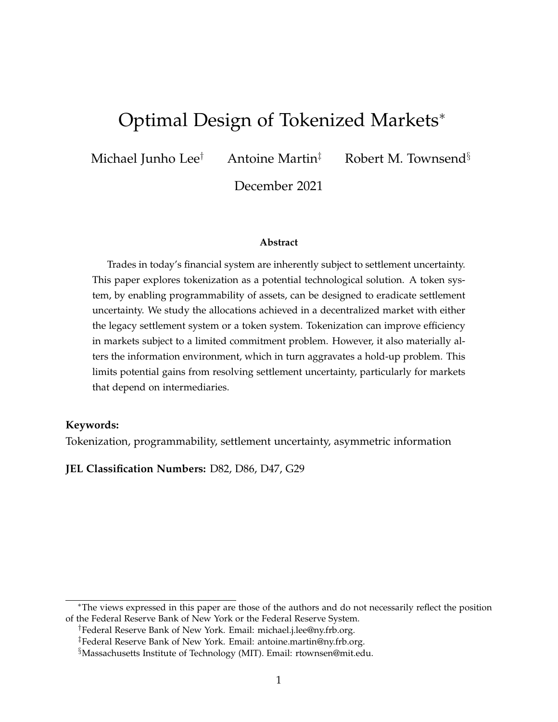# Optimal Design of Tokenized Markets<sup>∗</sup>

Michael Junho Lee<sup>†</sup> Antoine Martin<sup>‡</sup> Robert M. Townsend<sup>§</sup>

December 2021

#### **Abstract**

Trades in today's financial system are inherently subject to settlement uncertainty. This paper explores tokenization as a potential technological solution. A token system, by enabling programmability of assets, can be designed to eradicate settlement uncertainty. We study the allocations achieved in a decentralized market with either the legacy settlement system or a token system. Tokenization can improve efficiency in markets subject to a limited commitment problem. However, it also materially alters the information environment, which in turn aggravates a hold-up problem. This limits potential gains from resolving settlement uncertainty, particularly for markets that depend on intermediaries.

### **Keywords:**

Tokenization, programmability, settlement uncertainty, asymmetric information

**JEL Classification Numbers:** D82, D86, D47, G29

<sup>∗</sup>The views expressed in this paper are those of the authors and do not necessarily reflect the position of the Federal Reserve Bank of New York or the Federal Reserve System.

<sup>†</sup>Federal Reserve Bank of New York. Email: michael.j.lee@ny.frb.org.

<sup>‡</sup>Federal Reserve Bank of New York. Email: antoine.martin@ny.frb.org.

<sup>§</sup>Massachusetts Institute of Technology (MIT). Email: rtownsen@mit.edu.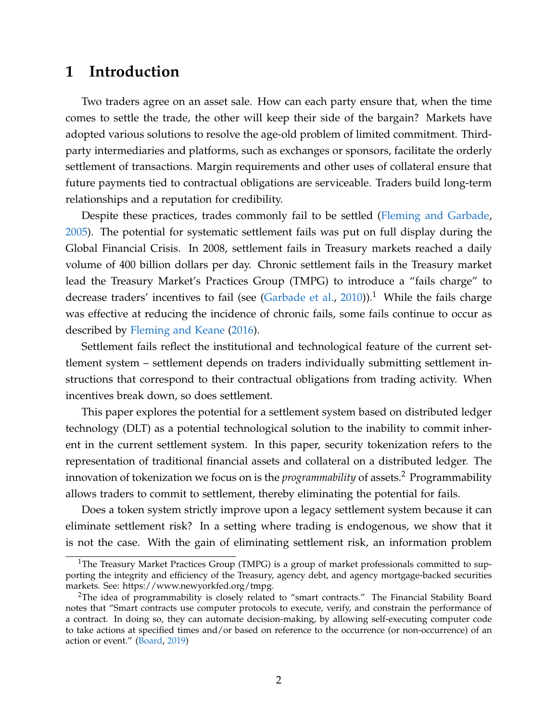## **1 Introduction**

Two traders agree on an asset sale. How can each party ensure that, when the time comes to settle the trade, the other will keep their side of the bargain? Markets have adopted various solutions to resolve the age-old problem of limited commitment. Thirdparty intermediaries and platforms, such as exchanges or sponsors, facilitate the orderly settlement of transactions. Margin requirements and other uses of collateral ensure that future payments tied to contractual obligations are serviceable. Traders build long-term relationships and a reputation for credibility.

Despite these practices, trades commonly fail to be settled [\(Fleming and Garbade,](#page-25-0) [2005\)](#page-25-0). The potential for systematic settlement fails was put on full display during the Global Financial Crisis. In 2008, settlement fails in Treasury markets reached a daily volume of 400 billion dollars per day. Chronic settlement fails in the Treasury market lead the Treasury Market's Practices Group (TMPG) to introduce a "fails charge" to decrease traders' incentives to fail (see [\(Garbade et al.,](#page-25-1) [2010\)](#page-25-1)).<sup>[1](#page-1-0)</sup> While the fails charge was effective at reducing the incidence of chronic fails, some fails continue to occur as described by [Fleming and Keane](#page-25-2) [\(2016\)](#page-25-2).

Settlement fails reflect the institutional and technological feature of the current settlement system – settlement depends on traders individually submitting settlement instructions that correspond to their contractual obligations from trading activity. When incentives break down, so does settlement.

This paper explores the potential for a settlement system based on distributed ledger technology (DLT) as a potential technological solution to the inability to commit inherent in the current settlement system. In this paper, security tokenization refers to the representation of traditional financial assets and collateral on a distributed ledger. The innovation of tokenization we focus on is the *programmability* of assets.<sup>[2](#page-1-1)</sup> Programmability allows traders to commit to settlement, thereby eliminating the potential for fails.

Does a token system strictly improve upon a legacy settlement system because it can eliminate settlement risk? In a setting where trading is endogenous, we show that it is not the case. With the gain of eliminating settlement risk, an information problem

<span id="page-1-0"></span><sup>&</sup>lt;sup>1</sup>The Treasury Market Practices Group (TMPG) is a group of market professionals committed to supporting the integrity and efficiency of the Treasury, agency debt, and agency mortgage-backed securities markets. See: https://www.newyorkfed.org/tmpg.

<span id="page-1-1"></span><sup>&</sup>lt;sup>2</sup>The idea of programmability is closely related to "smart contracts." The Financial Stability Board notes that "Smart contracts use computer protocols to execute, verify, and constrain the performance of a contract. In doing so, they can automate decision-making, by allowing self-executing computer code to take actions at specified times and/or based on reference to the occurrence (or non-occurrence) of an action or event." [\(Board,](#page-25-3) [2019\)](#page-25-3)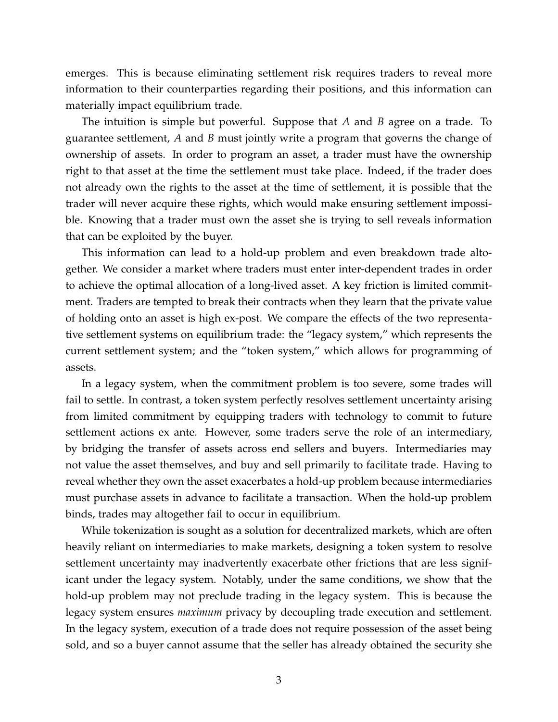emerges. This is because eliminating settlement risk requires traders to reveal more information to their counterparties regarding their positions, and this information can materially impact equilibrium trade.

The intuition is simple but powerful. Suppose that *A* and *B* agree on a trade. To guarantee settlement, *A* and *B* must jointly write a program that governs the change of ownership of assets. In order to program an asset, a trader must have the ownership right to that asset at the time the settlement must take place. Indeed, if the trader does not already own the rights to the asset at the time of settlement, it is possible that the trader will never acquire these rights, which would make ensuring settlement impossible. Knowing that a trader must own the asset she is trying to sell reveals information that can be exploited by the buyer.

This information can lead to a hold-up problem and even breakdown trade altogether. We consider a market where traders must enter inter-dependent trades in order to achieve the optimal allocation of a long-lived asset. A key friction is limited commitment. Traders are tempted to break their contracts when they learn that the private value of holding onto an asset is high ex-post. We compare the effects of the two representative settlement systems on equilibrium trade: the "legacy system," which represents the current settlement system; and the "token system," which allows for programming of assets.

In a legacy system, when the commitment problem is too severe, some trades will fail to settle. In contrast, a token system perfectly resolves settlement uncertainty arising from limited commitment by equipping traders with technology to commit to future settlement actions ex ante. However, some traders serve the role of an intermediary, by bridging the transfer of assets across end sellers and buyers. Intermediaries may not value the asset themselves, and buy and sell primarily to facilitate trade. Having to reveal whether they own the asset exacerbates a hold-up problem because intermediaries must purchase assets in advance to facilitate a transaction. When the hold-up problem binds, trades may altogether fail to occur in equilibrium.

While tokenization is sought as a solution for decentralized markets, which are often heavily reliant on intermediaries to make markets, designing a token system to resolve settlement uncertainty may inadvertently exacerbate other frictions that are less significant under the legacy system. Notably, under the same conditions, we show that the hold-up problem may not preclude trading in the legacy system. This is because the legacy system ensures *maximum* privacy by decoupling trade execution and settlement. In the legacy system, execution of a trade does not require possession of the asset being sold, and so a buyer cannot assume that the seller has already obtained the security she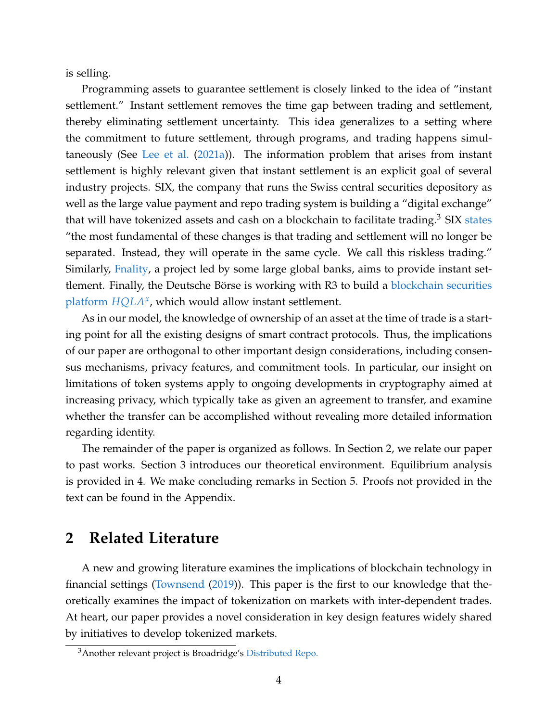is selling.

Programming assets to guarantee settlement is closely linked to the idea of "instant settlement." Instant settlement removes the time gap between trading and settlement, thereby eliminating settlement uncertainty. This idea generalizes to a setting where the commitment to future settlement, through programs, and trading happens simultaneously (See [Lee et al.](#page-26-0) [\(2021a\)](#page-26-0)). The information problem that arises from instant settlement is highly relevant given that instant settlement is an explicit goal of several industry projects. SIX, the company that runs the Swiss central securities depository as well as the large value payment and repo trading system is building a "digital exchange" that will have tokenized assets and cash on a blockchain to facilitate trading.<sup>[3](#page-3-0)</sup> SIX [states](https://www.sixdx.com/en/home/sdx/business-model.html) "the most fundamental of these changes is that trading and settlement will no longer be separated. Instead, they will operate in the same cycle. We call this riskless trading." Similarly, [Fnality,](https://www.fnality.org/news-views/usc-continues-to-evolve) a project led by some large global banks, aims to provide instant settlement. Finally, the Deutsche Börse is working with R3 to build a **[blockchain securities](https://www.ledgerinsights.com/deutsche-borse-swisscom-trial-blockchain-post-trade-settlement-using-tokenized-cash/)** [platform](https://www.ledgerinsights.com/deutsche-borse-swisscom-trial-blockchain-post-trade-settlement-using-tokenized-cash/) *[HQLA](https://www.hqla-x.com/post/a-solution-for-managing-high-quality-liquid-assets-how-distributed-ledger-technology-can-benefit-the-securities-lending-market)<sup>x</sup>* , which would allow instant settlement.

As in our model, the knowledge of ownership of an asset at the time of trade is a starting point for all the existing designs of smart contract protocols. Thus, the implications of our paper are orthogonal to other important design considerations, including consensus mechanisms, privacy features, and commitment tools. In particular, our insight on limitations of token systems apply to ongoing developments in cryptography aimed at increasing privacy, which typically take as given an agreement to transfer, and examine whether the transfer can be accomplished without revealing more detailed information regarding identity.

The remainder of the paper is organized as follows. In Section [2,](#page-3-1) we relate our paper to past works. Section [3](#page-4-0) introduces our theoretical environment. Equilibrium analysis is provided in [4.](#page-9-0) We make concluding remarks in Section [5.](#page-24-0) Proofs not provided in the text can be found in the Appendix.

## <span id="page-3-1"></span>**2 Related Literature**

A new and growing literature examines the implications of blockchain technology in financial settings [\(Townsend](#page-26-1) [\(2019\)](#page-26-1)). This paper is the first to our knowledge that theoretically examines the impact of tokenization on markets with inter-dependent trades. At heart, our paper provides a novel consideration in key design features widely shared by initiatives to develop tokenized markets.

<span id="page-3-0"></span><sup>3</sup>Another relevant project is Broadridge's [Distributed Repo.](https://www.broadridge.com/article/distributed-repo)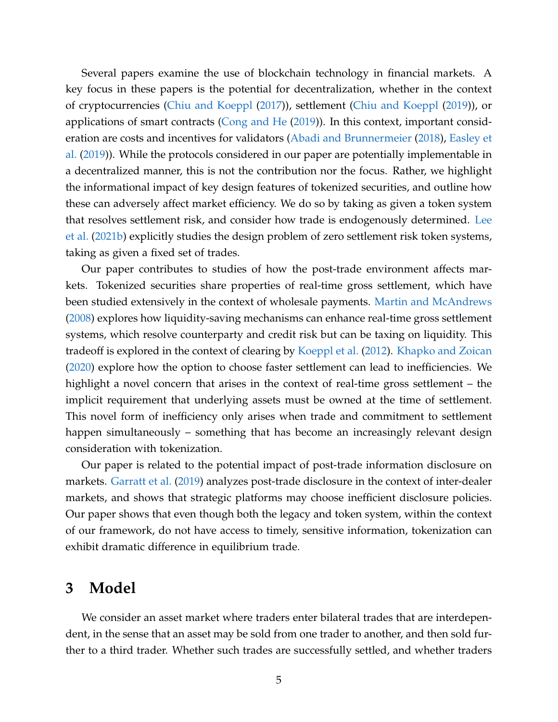Several papers examine the use of blockchain technology in financial markets. A key focus in these papers is the potential for decentralization, whether in the context of cryptocurrencies [\(Chiu and Koeppl](#page-25-4) [\(2017\)](#page-25-4)), settlement [\(Chiu and Koeppl](#page-25-5) [\(2019\)](#page-25-5)), or applications of smart contracts [\(Cong and He](#page-25-6) [\(2019\)](#page-25-6)). In this context, important consideration are costs and incentives for validators [\(Abadi and Brunnermeier](#page-25-7) [\(2018\)](#page-25-7), [Easley et](#page-25-8) [al.](#page-25-8) [\(2019\)](#page-25-8)). While the protocols considered in our paper are potentially implementable in a decentralized manner, this is not the contribution nor the focus. Rather, we highlight the informational impact of key design features of tokenized securities, and outline how these can adversely affect market efficiency. We do so by taking as given a token system that resolves settlement risk, and consider how trade is endogenously determined. [Lee](#page-26-2) [et al.](#page-26-2) [\(2021b\)](#page-26-2) explicitly studies the design problem of zero settlement risk token systems, taking as given a fixed set of trades.

Our paper contributes to studies of how the post-trade environment affects markets. Tokenized securities share properties of real-time gross settlement, which have been studied extensively in the context of wholesale payments. [Martin and McAndrews](#page-26-3) [\(2008\)](#page-26-3) explores how liquidity-saving mechanisms can enhance real-time gross settlement systems, which resolve counterparty and credit risk but can be taxing on liquidity. This tradeoff is explored in the context of clearing by [Koeppl et al.](#page-25-9) [\(2012\)](#page-25-9). [Khapko and Zoican](#page-25-10) [\(2020\)](#page-25-10) explore how the option to choose faster settlement can lead to inefficiencies. We highlight a novel concern that arises in the context of real-time gross settlement – the implicit requirement that underlying assets must be owned at the time of settlement. This novel form of inefficiency only arises when trade and commitment to settlement happen simultaneously – something that has become an increasingly relevant design consideration with tokenization.

Our paper is related to the potential impact of post-trade information disclosure on markets. [Garratt et al.](#page-25-11) [\(2019\)](#page-25-11) analyzes post-trade disclosure in the context of inter-dealer markets, and shows that strategic platforms may choose inefficient disclosure policies. Our paper shows that even though both the legacy and token system, within the context of our framework, do not have access to timely, sensitive information, tokenization can exhibit dramatic difference in equilibrium trade.

### <span id="page-4-0"></span>**3 Model**

We consider an asset market where traders enter bilateral trades that are interdependent, in the sense that an asset may be sold from one trader to another, and then sold further to a third trader. Whether such trades are successfully settled, and whether traders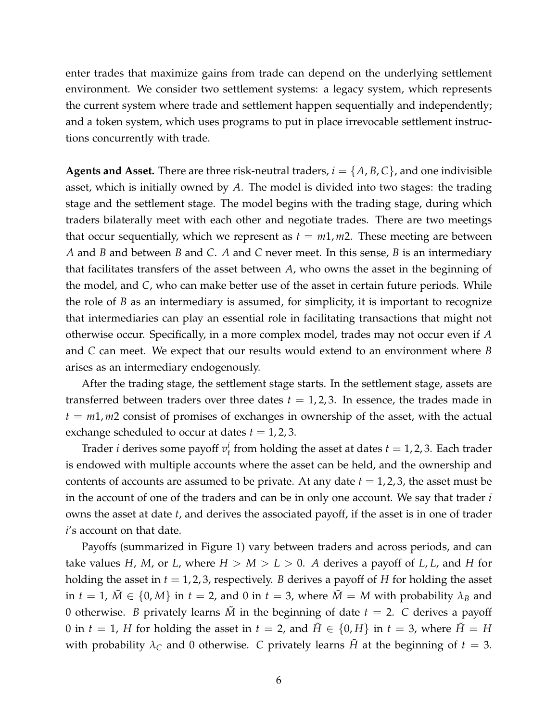enter trades that maximize gains from trade can depend on the underlying settlement environment. We consider two settlement systems: a legacy system, which represents the current system where trade and settlement happen sequentially and independently; and a token system, which uses programs to put in place irrevocable settlement instructions concurrently with trade.

**Agents and Asset.** There are three risk-neutral traders,  $i = \{A, B, C\}$ , and one indivisible asset, which is initially owned by *A*. The model is divided into two stages: the trading stage and the settlement stage. The model begins with the trading stage, during which traders bilaterally meet with each other and negotiate trades. There are two meetings that occur sequentially, which we represent as  $t = m1$ ,  $m2$ . These meeting are between *A* and *B* and between *B* and *C*. *A* and *C* never meet. In this sense, *B* is an intermediary that facilitates transfers of the asset between *A*, who owns the asset in the beginning of the model, and *C*, who can make better use of the asset in certain future periods. While the role of *B* as an intermediary is assumed, for simplicity, it is important to recognize that intermediaries can play an essential role in facilitating transactions that might not otherwise occur. Specifically, in a more complex model, trades may not occur even if *A* and *C* can meet. We expect that our results would extend to an environment where *B* arises as an intermediary endogenously.

After the trading stage, the settlement stage starts. In the settlement stage, assets are transferred between traders over three dates  $t = 1, 2, 3$ . In essence, the trades made in  $t = m1$ ,  $m2$  consist of promises of exchanges in ownership of the asset, with the actual exchange scheduled to occur at dates  $t = 1, 2, 3$ .

Trader *i* derives some payoff  $v_t^i$  from holding the asset at dates  $t = 1, 2, 3$ . Each trader is endowed with multiple accounts where the asset can be held, and the ownership and contents of accounts are assumed to be private. At any date  $t = 1, 2, 3$ , the asset must be in the account of one of the traders and can be in only one account. We say that trader *i* owns the asset at date *t*, and derives the associated payoff, if the asset is in one of trader *i*'s account on that date.

Payoffs (summarized in Figure [1\)](#page-6-0) vary between traders and across periods, and can take values *H*, *M*, or *L*, where  $H > M > L > 0$ . *A* derives a payoff of *L*, *L*, and *H* for holding the asset in  $t = 1, 2, 3$ , respectively. *B* derives a payoff of *H* for holding the asset in  $t = 1$ ,  $\tilde{M} \in \{0, M\}$  in  $t = 2$ , and 0 in  $t = 3$ , where  $\tilde{M} = M$  with probability  $\lambda_B$  and 0 otherwise. *B* privately learns  $\tilde{M}$  in the beginning of date  $t = 2$ . *C* derives a payoff 0 in  $t = 1$ , *H* for holding the asset in  $t = 2$ , and  $\hat{H} \in \{0, H\}$  in  $t = 3$ , where  $\hat{H} = H$ with probability  $\lambda_c$  and 0 otherwise. *C* privately learns *H* at the beginning of  $t = 3$ .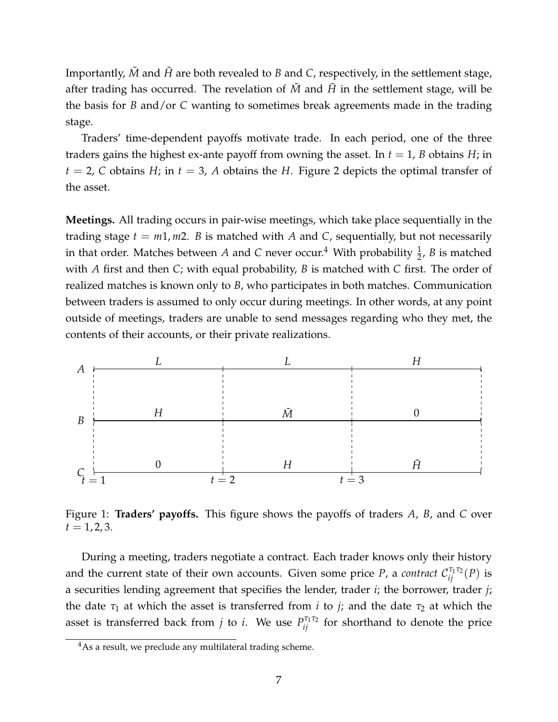Importantly,  $\tilde{M}$  and  $\tilde{H}$  are both revealed to *B* and *C*, respectively, in the settlement stage, after trading has occurred. The revelation of  $\tilde{M}$  and  $\tilde{H}$  in the settlement stage, will be the basis for *B* and/or *C* wanting to sometimes break agreements made in the trading stage.

Traders' time-dependent payoffs motivate trade. In each period, one of the three traders gains the highest ex-ante payoff from owning the asset. In  $t = 1$ , *B* obtains *H*; in  $t = 2$  $t = 2$ , *C* obtains *H*; in  $t = 3$ , *A* obtains the *H*. Figure 2 depicts the optimal transfer of the asset.

**Meetings.** All trading occurs in pair-wise meetings, which take place sequentially in the trading stage  $t = m1$ ,  $m2$ . *B* is matched with *A* and *C*, sequentially, but not necessarily in that order. Matches between  $A$  and  $C$  never occur.<sup>[4](#page-6-1)</sup> With probability  $\frac{1}{2}$ ,  $B$  is matched with *A* first and then *C*; with equal probability, *B* is matched with *C* first. The order of realized matches is known only to *B*, who participates in both matches. Communication between traders is assumed to only occur during meetings. In other words, at any point outside of meetings, traders are unable to send messages regarding who they met, the contents of their accounts, or their private realizations.

<span id="page-6-0"></span>

Figure 1: **Traders' payoffs.** This figure shows the payoffs of traders *A*, *B*, and *C* over  $t = 1, 2, 3.$ 

During a meeting, traders negotiate a contract. Each trader knows only their history and the current state of their own accounts. Given some price P, a *contract*  $\mathcal{C}^{\tau_1\tau_2}_{ij}(P)$  is a securities lending agreement that specifies the lender, trader *i*; the borrower, trader *j*; the date  $\tau_1$  at which the asset is transferred from *i* to *j*; and the date  $\tau_2$  at which the asset is transferred back from *j* to *i*. We use  $P_{ij}^{\tau_1 \tau_2}$  for shorthand to denote the price

<span id="page-6-1"></span><sup>&</sup>lt;sup>4</sup>As a result, we preclude any multilateral trading scheme.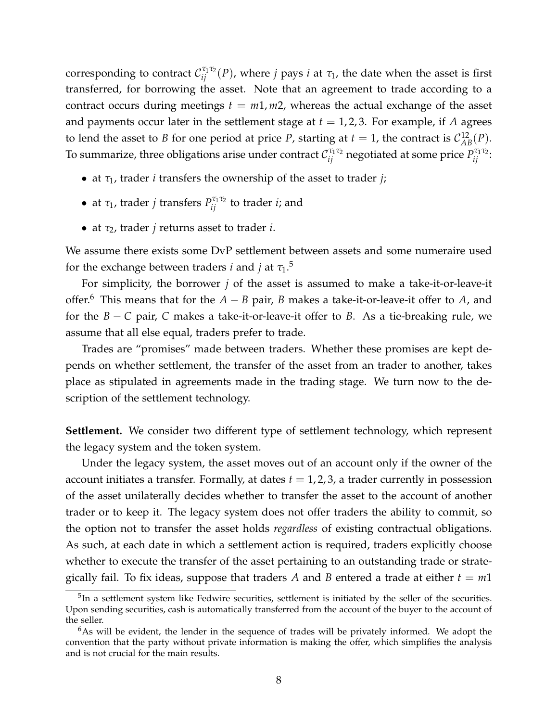corresponding to contract  $\mathcal{C}^{\tau_1\tau_2}_{ij}(P)$ , where *j* pays *i* at  $\tau_1$ , the date when the asset is first transferred, for borrowing the asset. Note that an agreement to trade according to a contract occurs during meetings  $t = m1, m2$ , whereas the actual exchange of the asset and payments occur later in the settlement stage at  $t = 1, 2, 3$ . For example, if A agrees to lend the asset to *B* for one period at price *P*, starting at  $t = 1$ , the contract is  $C_{AB}^{12}(P)$ . To summarize, three obligations arise under contract  $\mathcal{C}_{ij}^{\tau_1\tau_2}$  negotiated at some price  $P_{ij}^{\tau_1\tau_2}$ :

- at *τ*1, trader *i* transfers the ownership of the asset to trader *j*;
- at  $\tau_1$ , trader *j* transfers  $P_{ij}^{\tau_1 \tau_2}$  to trader *i*; and
- at *τ*2, trader *j* returns asset to trader *i*.

We assume there exists some DvP settlement between assets and some numeraire used for the exchange between traders *i* and *j* at  $\tau_1$ .<sup>[5](#page-7-0)</sup>

For simplicity, the borrower *j* of the asset is assumed to make a take-it-or-leave-it offer.[6](#page-7-1) This means that for the *A* − *B* pair, *B* makes a take-it-or-leave-it offer to *A*, and for the *B* − *C* pair, *C* makes a take-it-or-leave-it offer to *B*. As a tie-breaking rule, we assume that all else equal, traders prefer to trade.

Trades are "promises" made between traders. Whether these promises are kept depends on whether settlement, the transfer of the asset from an trader to another, takes place as stipulated in agreements made in the trading stage. We turn now to the description of the settlement technology.

**Settlement.** We consider two different type of settlement technology, which represent the legacy system and the token system.

Under the legacy system, the asset moves out of an account only if the owner of the account initiates a transfer. Formally, at dates  $t = 1, 2, 3$ , a trader currently in possession of the asset unilaterally decides whether to transfer the asset to the account of another trader or to keep it. The legacy system does not offer traders the ability to commit, so the option not to transfer the asset holds *regardless* of existing contractual obligations. As such, at each date in which a settlement action is required, traders explicitly choose whether to execute the transfer of the asset pertaining to an outstanding trade or strategically fail. To fix ideas, suppose that traders A and B entered a trade at either  $t = m1$ 

<span id="page-7-0"></span> $5$ In a settlement system like Fedwire securities, settlement is initiated by the seller of the securities. Upon sending securities, cash is automatically transferred from the account of the buyer to the account of the seller.

<span id="page-7-1"></span> $6$ As will be evident, the lender in the sequence of trades will be privately informed. We adopt the convention that the party without private information is making the offer, which simplifies the analysis and is not crucial for the main results.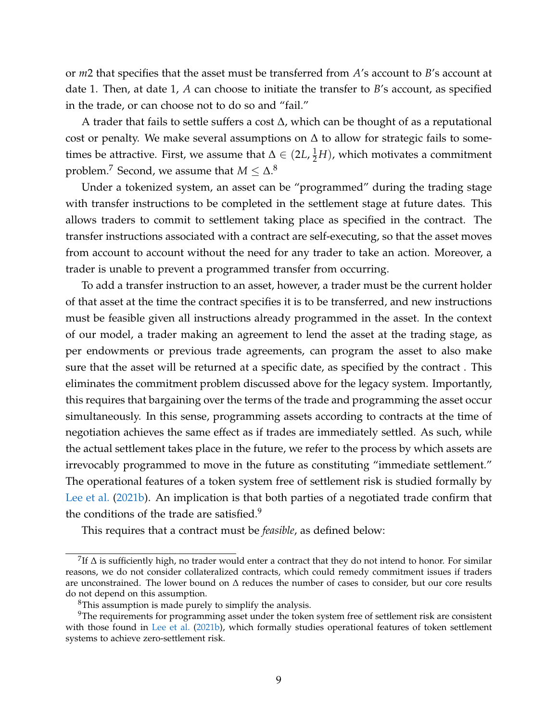or *m*2 that specifies that the asset must be transferred from *A*'s account to *B*'s account at date 1. Then, at date 1, *A* can choose to initiate the transfer to *B*'s account, as specified in the trade, or can choose not to do so and "fail."

A trader that fails to settle suffers a cost ∆, which can be thought of as a reputational cost or penalty. We make several assumptions on  $\Delta$  to allow for strategic fails to sometimes be attractive. First, we assume that  $\Delta \in (2L, \frac{1}{2}H)$ , which motivates a commitment problem.<sup>[7](#page-8-0)</sup> Second, we assume that  $M \leq \Delta$ .<sup>[8](#page-8-1)</sup>

Under a tokenized system, an asset can be "programmed" during the trading stage with transfer instructions to be completed in the settlement stage at future dates. This allows traders to commit to settlement taking place as specified in the contract. The transfer instructions associated with a contract are self-executing, so that the asset moves from account to account without the need for any trader to take an action. Moreover, a trader is unable to prevent a programmed transfer from occurring.

To add a transfer instruction to an asset, however, a trader must be the current holder of that asset at the time the contract specifies it is to be transferred, and new instructions must be feasible given all instructions already programmed in the asset. In the context of our model, a trader making an agreement to lend the asset at the trading stage, as per endowments or previous trade agreements, can program the asset to also make sure that the asset will be returned at a specific date, as specified by the contract . This eliminates the commitment problem discussed above for the legacy system. Importantly, this requires that bargaining over the terms of the trade and programming the asset occur simultaneously. In this sense, programming assets according to contracts at the time of negotiation achieves the same effect as if trades are immediately settled. As such, while the actual settlement takes place in the future, we refer to the process by which assets are irrevocably programmed to move in the future as constituting "immediate settlement." The operational features of a token system free of settlement risk is studied formally by [Lee et al.](#page-26-2) [\(2021b\)](#page-26-2). An implication is that both parties of a negotiated trade confirm that the conditions of the trade are satisfied. $9$ 

This requires that a contract must be *feasible*, as defined below:

<span id="page-8-0"></span> $^7$ If  $\Delta$  is sufficiently high, no trader would enter a contract that they do not intend to honor. For similar reasons, we do not consider collateralized contracts, which could remedy commitment issues if traders are unconstrained. The lower bound on ∆ reduces the number of cases to consider, but our core results do not depend on this assumption.

<span id="page-8-2"></span><span id="page-8-1"></span><sup>8</sup>This assumption is made purely to simplify the analysis.

<sup>&</sup>lt;sup>9</sup>The requirements for programming asset under the token system free of settlement risk are consistent with those found in [Lee et al.](#page-26-2) [\(2021b\)](#page-26-2), which formally studies operational features of token settlement systems to achieve zero-settlement risk.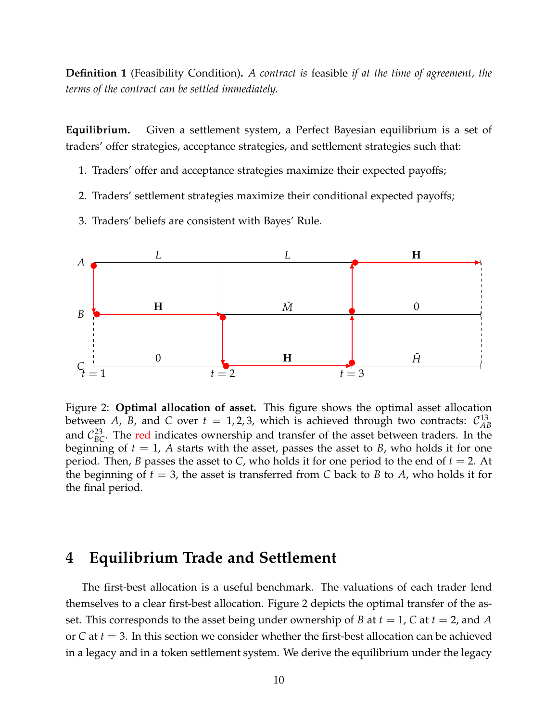**Definition 1** (Feasibility Condition)**.** *A contract is* feasible *if at the time of agreement, the terms of the contract can be settled immediately.*

**Equilibrium.** Given a settlement system, a Perfect Bayesian equilibrium is a set of traders' offer strategies, acceptance strategies, and settlement strategies such that:

- 1. Traders' offer and acceptance strategies maximize their expected payoffs;
- 2. Traders' settlement strategies maximize their conditional expected payoffs;
- 3. Traders' beliefs are consistent with Bayes' Rule.

<span id="page-9-1"></span>

Figure 2: **Optimal allocation of asset.** This figure shows the optimal asset allocation between A, B, and C over  $t = 1, 2, 3$ , which is achieved through two contracts:  $\mathcal{C}_{AB}^{13}$ *AB* and  $C_{BC}^{23}$ . The red indicates ownership and transfer of the asset between traders. In the beginning of  $t = 1$ , A starts with the asset, passes the asset to *B*, who holds it for one period. Then, *B* passes the asset to *C*, who holds it for one period to the end of *t* = 2. At the beginning of  $t = 3$ , the asset is transferred from C back to B to A, who holds it for the final period.

### <span id="page-9-0"></span>**4 Equilibrium Trade and Settlement**

The first-best allocation is a useful benchmark. The valuations of each trader lend themselves to a clear first-best allocation. Figure [2](#page-9-1) depicts the optimal transfer of the asset. This corresponds to the asset being under ownership of *B* at *t* = 1, *C* at *t* = 2, and *A* or *C* at *t* = 3. In this section we consider whether the first-best allocation can be achieved in a legacy and in a token settlement system. We derive the equilibrium under the legacy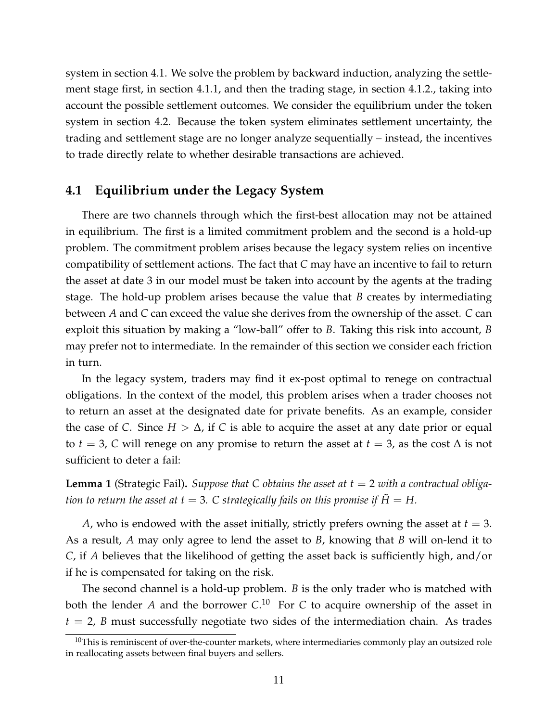system in section 4.1. We solve the problem by backward induction, analyzing the settlement stage first, in section 4.1.1, and then the trading stage, in section 4.1.2., taking into account the possible settlement outcomes. We consider the equilibrium under the token system in section 4.2. Because the token system eliminates settlement uncertainty, the trading and settlement stage are no longer analyze sequentially – instead, the incentives to trade directly relate to whether desirable transactions are achieved.

### **4.1 Equilibrium under the Legacy System**

There are two channels through which the first-best allocation may not be attained in equilibrium. The first is a limited commitment problem and the second is a hold-up problem. The commitment problem arises because the legacy system relies on incentive compatibility of settlement actions. The fact that *C* may have an incentive to fail to return the asset at date 3 in our model must be taken into account by the agents at the trading stage. The hold-up problem arises because the value that *B* creates by intermediating between *A* and *C* can exceed the value she derives from the ownership of the asset. *C* can exploit this situation by making a "low-ball" offer to *B*. Taking this risk into account, *B* may prefer not to intermediate. In the remainder of this section we consider each friction in turn.

In the legacy system, traders may find it ex-post optimal to renege on contractual obligations. In the context of the model, this problem arises when a trader chooses not to return an asset at the designated date for private benefits. As an example, consider the case of *C*. Since  $H > \Delta$ , if *C* is able to acquire the asset at any date prior or equal to *t* = 3, *C* will renege on any promise to return the asset at *t* = 3, as the cost  $\Delta$  is not sufficient to deter a fail:

<span id="page-10-1"></span>**Lemma 1** (Strategic Fail). Suppose that C obtains the asset at  $t = 2$  with a contractual obliga*tion to return the asset at t* = 3. C strategically fails on this promise if  $\tilde{H} = H$ .

*A*, who is endowed with the asset initially, strictly prefers owning the asset at  $t = 3$ . As a result, *A* may only agree to lend the asset to *B*, knowing that *B* will on-lend it to *C*, if *A* believes that the likelihood of getting the asset back is sufficiently high, and/or if he is compensated for taking on the risk.

The second channel is a hold-up problem. *B* is the only trader who is matched with both the lender A and the borrower C.<sup>[10](#page-10-0)</sup> For C to acquire ownership of the asset in  $t = 2$ , *B* must successfully negotiate two sides of the intermediation chain. As trades

<span id="page-10-0"></span> $10$ This is reminiscent of over-the-counter markets, where intermediaries commonly play an outsized role in reallocating assets between final buyers and sellers.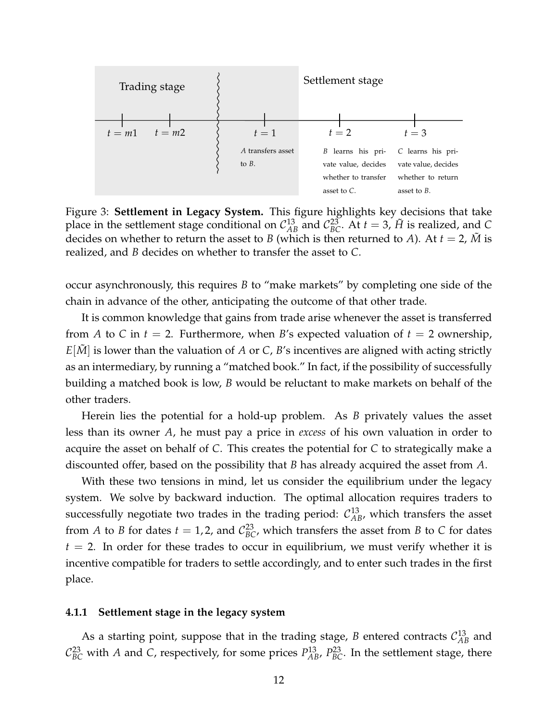<span id="page-11-0"></span>

Figure 3: **Settlement in Legacy System.** This figure highlights key decisions that take place in the settlement stage conditional on  $C_{AB}^{13}$  and  $C_{BC}^{23}$ . At  $t = 3$ ,  $\tilde{H}$  is realized, and *C* decides on whether to return the asset to *B* (which is then returned to *A*). At  $t = 2$ , *M* is realized, and *B* decides on whether to transfer the asset to *C*.

occur asynchronously, this requires *B* to "make markets" by completing one side of the chain in advance of the other, anticipating the outcome of that other trade.

It is common knowledge that gains from trade arise whenever the asset is transferred from *A* to *C* in  $t = 2$ . Furthermore, when *B*'s expected valuation of  $t = 2$  ownership,  $E[\tilde{M}]$  is lower than the valuation of *A* or *C*, *B*'s incentives are aligned with acting strictly as an intermediary, by running a "matched book." In fact, if the possibility of successfully building a matched book is low, *B* would be reluctant to make markets on behalf of the other traders.

Herein lies the potential for a hold-up problem. As *B* privately values the asset less than its owner *A*, he must pay a price in *excess* of his own valuation in order to acquire the asset on behalf of *C*. This creates the potential for *C* to strategically make a discounted offer, based on the possibility that *B* has already acquired the asset from *A*.

With these two tensions in mind, let us consider the equilibrium under the legacy system. We solve by backward induction. The optimal allocation requires traders to successfully negotiate two trades in the trading period:  $\mathcal{C}_{AB}^{13}$ , which transfers the asset from *A* to *B* for dates  $t = 1, 2$ , and  $C_{BC}^{23}$ , which transfers the asset from *B* to *C* for dates  $t = 2$ . In order for these trades to occur in equilibrium, we must verify whether it is incentive compatible for traders to settle accordingly, and to enter such trades in the first place.

#### **4.1.1 Settlement stage in the legacy system**

As a starting point, suppose that in the trading stage,  $B$  entered contracts  $C_{AB}^{13}$  and  $C_{BC}^{23}$  with *A* and *C*, respectively, for some prices  $P_{AB}^{13}$ ,  $P_{BC}^{23}$ . In the settlement stage, there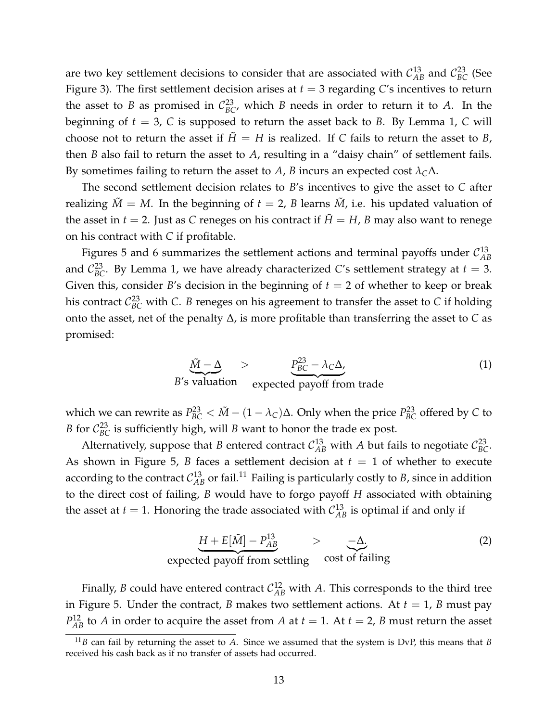are two key settlement decisions to consider that are associated with  $\mathcal{C}_{AB}^{13}$  and  $\mathcal{C}_{BC}^{23}$  (See Figure [3\)](#page-11-0). The first settlement decision arises at *t* = 3 regarding *C*'s incentives to return the asset to *B* as promised in  $C_{BC}^{23}$ , which *B* needs in order to return it to *A*. In the beginning of  $t = 3$ , *C* is supposed to return the asset back to *B*. By Lemma [1,](#page-10-1) *C* will choose not to return the asset if  $\ddot{H} = H$  is realized. If C fails to return the asset to *B*, then *B* also fail to return the asset to *A*, resulting in a "daisy chain" of settlement fails. By sometimes failing to return the asset to *A*, *B* incurs an expected cost  $\lambda_C \Delta$ .

The second settlement decision relates to *B*'s incentives to give the asset to *C* after realizing  $\tilde{M} = M$ . In the beginning of  $t = 2$ , *B* learns  $\tilde{M}$ , i.e. his updated valuation of the asset in  $t = 2$ . Just as *C* reneges on his contract if  $\tilde{H} = H$ , *B* may also want to renege on his contract with *C* if profitable.

Figures [5](#page-15-0) and [6](#page-16-0) summarizes the settlement actions and terminal payoffs under  $\mathcal{C}_{AB}^{13}$ *AB* and  $\mathcal{C}_{BC}^{23}$ . By Lemma [1,](#page-10-1) we have already characterized *C*'s settlement strategy at  $t=3$ . Given this, consider *B*'s decision in the beginning of  $t = 2$  of whether to keep or break his contract  $\mathcal{C}_{BC}^{23}$  with C. *B* reneges on his agreement to transfer the asset to C if holding onto the asset, net of the penalty ∆, is more profitable than transferring the asset to *C* as promised:

$$
\underbrace{\tilde{M} - \Delta}_{B's \text{ valuation}} > \underbrace{P_{BC}^{23} - \lambda_C \Delta}_{\text{expected payoff from trade}} \tag{1}
$$

which we can rewrite as  $P_{BC}^{23} < \tilde{M} - (1 - \lambda_C)\Delta$ . Only when the price  $P_{BC}^{23}$  offered by C to *B* for  $C_{BC}^{23}$  is sufficiently high, will *B* want to honor the trade ex post.

Alternatively, suppose that *B* entered contract  $C_{AB}^{13}$  with *A* but fails to negotiate  $C_{BC}^{23}$ . As shown in Figure [5,](#page-15-0) *B* faces a settlement decision at  $t = 1$  of whether to execute according to the contract  $\mathcal{C}_{AB}^{13}$  or fail.<sup>[11](#page-12-0)</sup> Failing is particularly costly to *B*, since in addition to the direct cost of failing, *B* would have to forgo payoff *H* associated with obtaining the asset at  $t = 1$ . Honoring the trade associated with  $C_{AB}^{13}$  is optimal if and only if

$$
\underbrace{H + E[\tilde{M}] - P_{AB}^{13}}_{\text{expected payoff from settling}} > \underbrace{-\Delta}_{\text{cost of failing}} \tag{2}
$$

Finally, *B* could have entered contract  $C_{AB}^{12}$  with *A*. This corresponds to the third tree in Figure [5.](#page-15-0) Under the contract, *B* makes two settlement actions. At  $t = 1$ , *B* must pay  $P_{AB}^{12}$  to *A* in order to acquire the asset from *A* at *t* = 1. At *t* = 2, *B* must return the asset

<span id="page-12-0"></span> $11B$  can fail by returning the asset to *A*. Since we assumed that the system is DvP, this means that *B* received his cash back as if no transfer of assets had occurred.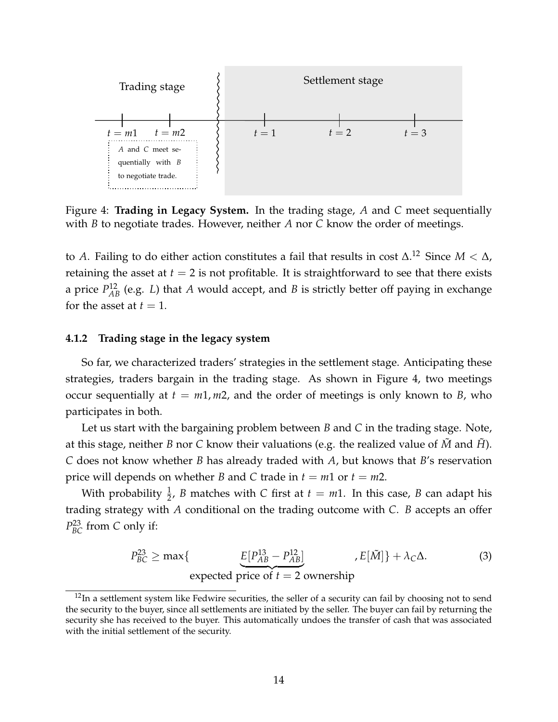<span id="page-13-1"></span>

Figure 4: **Trading in Legacy System.** In the trading stage, *A* and *C* meet sequentially with *B* to negotiate trades. However, neither *A* nor *C* know the order of meetings.

to *A*. Failing to do either action constitutes a fail that results in cost ∆. [12](#page-13-0) Since *M* < ∆, retaining the asset at  $t = 2$  is not profitable. It is straightforward to see that there exists a price  $P_{AB}^{12}$  (e.g. *L*) that *A* would accept, and *B* is strictly better off paying in exchange for the asset at  $t = 1$ .

### **4.1.2 Trading stage in the legacy system**

So far, we characterized traders' strategies in the settlement stage. Anticipating these strategies, traders bargain in the trading stage. As shown in Figure [4,](#page-13-1) two meetings occur sequentially at  $t = m1, m2$ , and the order of meetings is only known to *B*, who participates in both.

Let us start with the bargaining problem between *B* and *C* in the trading stage. Note, at this stage, neither *B* nor *C* know their valuations (e.g. the realized value of *M* and *H*). *C* does not know whether *B* has already traded with *A*, but knows that *B*'s reservation price will depends on whether *B* and *C* trade in  $t = m1$  or  $t = m2$ .

With probability  $\frac{1}{2}$ , *B* matches with *C* first at  $t = m1$ . In this case, *B* can adapt his trading strategy with *A* conditional on the trading outcome with *C*. *B* accepts an offer *P* 23 *BC* from *C* only if:

<span id="page-13-2"></span>
$$
P_{BC}^{23} \ge \max\{\qquad \qquad \underbrace{E[P_{AB}^{13} - P_{AB}^{12}]}_{\text{expected price of } t=2 \text{ ownership}} , E[\tilde{M}]\} + \lambda_C \Delta. \tag{3}
$$

<span id="page-13-0"></span> $12$ In a settlement system like Fedwire securities, the seller of a security can fail by choosing not to send the security to the buyer, since all settlements are initiated by the seller. The buyer can fail by returning the security she has received to the buyer. This automatically undoes the transfer of cash that was associated with the initial settlement of the security.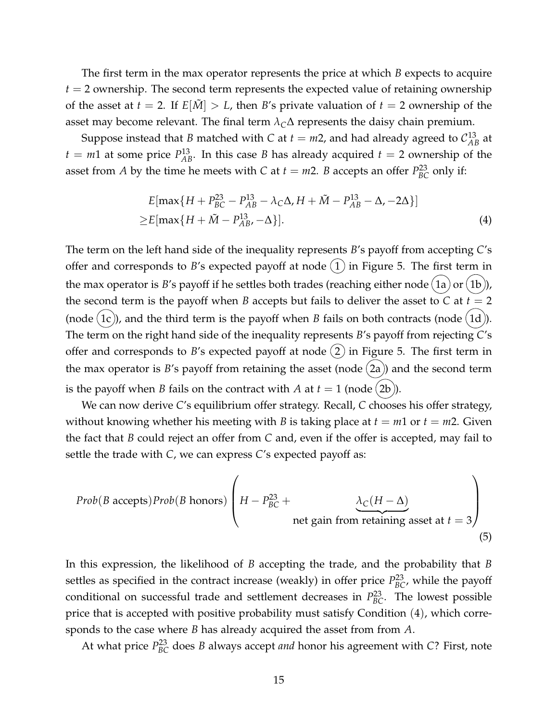The first term in the max operator represents the price at which *B* expects to acquire  $t = 2$  ownership. The second term represents the expected value of retaining ownership of the asset at  $t = 2$ . If  $E[\tilde{M}] > L$ , then *B*'s private valuation of  $t = 2$  ownership of the asset may become relevant. The final term  $\lambda_C\Delta$  represents the daisy chain premium.

Suppose instead that *B* matched with *C* at  $t = m2$ , and had already agreed to  $C_{AB}^{13}$  at  $t = m1$  at some price  $P_{AB}^{13}$ . In this case *B* has already acquired  $t = 2$  ownership of the asset from *A* by the time he meets with *C* at  $t = m2$ . *B* accepts an offer  $P_{BC}^{23}$  only if:

<span id="page-14-0"></span>
$$
E[\max\{H + P_{BC}^{23} - P_{AB}^{13} - \lambda_C \Delta, H + \tilde{M} - P_{AB}^{13} - \Delta, -2\Delta\}]
$$
  
\n
$$
\geq E[\max\{H + \tilde{M} - P_{AB}^{13}, -\Delta\}].
$$
\n(4)

The term on the left hand side of the inequality represents *B*'s payoff from accepting *C*'s offer and corresponds to *B*'s expected payoff at node  $(1)$  in Figure [5.](#page-15-0) The first term in the max operator is *B*'s payoff if he settles both trades (reaching either node  $(1a)$  or  $(1b)$ ), the second term is the payoff when *B* accepts but fails to deliver the asset to *C* at  $t = 2$ (node  $(1c)$ ), and the third term is the payoff when *B* fails on both contracts (node  $(1d)$ ). The term on the right hand side of the inequality represents *B*'s payoff from rejecting *C*'s offer and corresponds to *B*'s expected payoff at node  $(2)$  in Figure [5.](#page-15-0) The first term in the max operator is  $B$ 's payoff from retaining the asset (node  $(2a)$ ) and the second term is the payoff when *B* fails on the contract with *A* at  $t = 1$  (node  $(2b)$ ).

We can now derive *C*'s equilibrium offer strategy. Recall, *C* chooses his offer strategy, without knowing whether his meeting with *B* is taking place at  $t = m1$  or  $t = m2$ . Given the fact that *B* could reject an offer from *C* and, even if the offer is accepted, may fail to settle the trade with *C*, we can express *C*'s expected payoff as:

*Prob*(*B* accepts)*Prob*(*B* hours)
$$
\left(H - P_{BC}^{23} + \underbrace{\lambda_C (H - \Delta)}_{\text{net gain from retaining asset at } t = 3}\right)
$$
(5)

In this expression, the likelihood of *B* accepting the trade, and the probability that *B* settles as specified in the contract increase (weakly) in offer price  $P_{BC}^{23}$ , while the payoff conditional on successful trade and settlement decreases in  $P_{BC}^{23}$ . The lowest possible price that is accepted with positive probability must satisfy Condition ([4](#page-14-0)), which corresponds to the case where *B* has already acquired the asset from from *A*.

At what price  $P_{BC}^{23}$  does *B* always accept *and* honor his agreement with *C*? First, note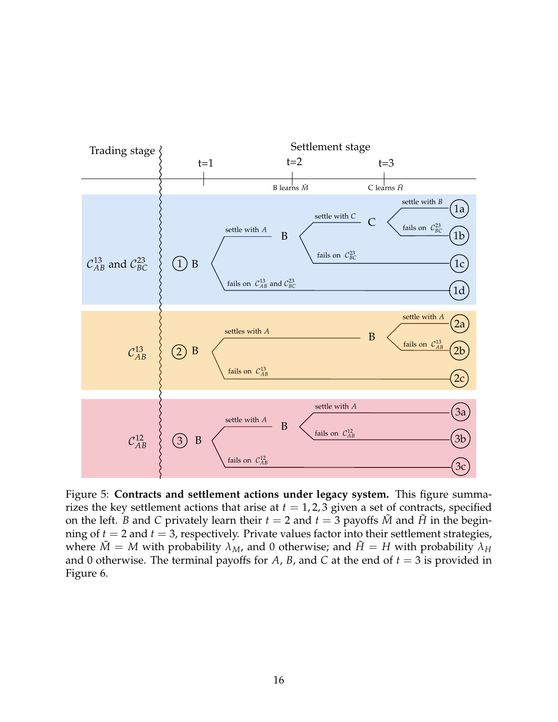<span id="page-15-0"></span>

Figure 5: **Contracts and settlement actions under legacy system.** This figure summarizes the key settlement actions that arise at  $t = 1, 2, 3$  given a set of contracts, specified on the left. *B* and *C* privately learn their  $t = 2$  and  $t = 3$  payoffs  $\tilde{M}$  and  $\tilde{H}$  in the beginning of  $t = 2$  and  $t = 3$ , respectively. Private values factor into their settlement strategies, where  $\tilde{M} = M$  with probability  $\lambda_M$ , and 0 otherwise; and  $\tilde{H} = H$  with probability  $\lambda_H$ and 0 otherwise. The terminal payoffs for  $A$ ,  $B$ , and  $C$  at the end of  $t = 3$  is provided in Figure [6.](#page-16-0)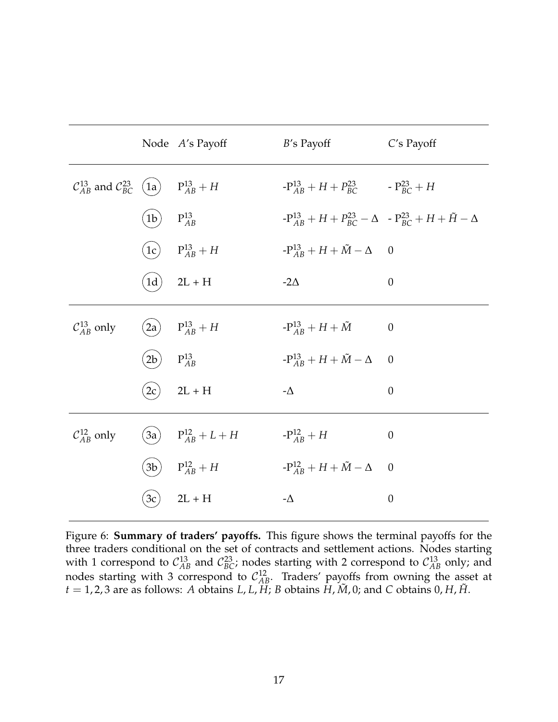<span id="page-16-0"></span>

|                                                                            |                                                  | Node A's Payoff            | B's Payoff                                                                       | C's Payoff       |
|----------------------------------------------------------------------------|--------------------------------------------------|----------------------------|----------------------------------------------------------------------------------|------------------|
| $\mathcal{C}_{AB}^{13}$ and $\mathcal{C}_{BC}^{23}$ (1a) $P_{AB}^{13}$ + H |                                                  |                            | $-P_{AB}^{13} + H + P_{BC}^{23}$ $-P_{BC}^{23} + H$                              |                  |
|                                                                            | $\begin{pmatrix} 1b \end{pmatrix}$ $P_{AB}^{13}$ |                            | $-P_{AB}^{13} + H + P_{BC}^{23} - \Delta - P_{BC}^{23} + H + \tilde{H} - \Delta$ |                  |
|                                                                            |                                                  | $(1c)$ $P_{AB}^{13} + H$   | $-{\bf P}^{13}_{AB} + H + \tilde{M} - \Delta = 0$                                |                  |
|                                                                            |                                                  | $(1d)$ 2L + H              | $-2\Delta$                                                                       | $\boldsymbol{0}$ |
| $\mathcal{C}_{AB}^{13}$ only                                               | (2a)                                             | $P_{AB}^{13} + H$          | $-{\bf P}^{13}_{AB}+H+\tilde M$                                                  | $\boldsymbol{0}$ |
|                                                                            | $\left(2b\right)$ $P_{AB}^{13}$                  |                            | $-P_{AB}^{13}+H+\tilde{M}-\Delta$ 0                                              |                  |
|                                                                            | (2c)                                             | $2L + H$                   | - $\Delta$                                                                       | $\boldsymbol{0}$ |
| $\mathcal{C}_{AB}^{12}$ only                                               |                                                  | (3a) $P_{AB}^{12} + L + H$ | $-P_{AB}^{12}+H$                                                                 | $\theta$         |
|                                                                            |                                                  | $(3b)$ $P_{AB}^{12} + H$   | $-{\rm P}^{12}_{AB}+H+\tilde M-\Delta$                                           | $\overline{0}$   |
|                                                                            |                                                  | $(3c)$ 2L + H              | - $\Delta$                                                                       | $\boldsymbol{0}$ |

Figure 6: **Summary of traders' payoffs.** This figure shows the terminal payoffs for the three traders conditional on the set of contracts and settlement actions. Nodes starting with 1 correspond to  $C_{AB}^{13}$  and  $C_{BC}^{23}$ ; nodes starting with 2 correspond to  $C_{AB}^{13}$  only; and nodes starting with 3 correspond to  $C_{AB}^{12}$ . Traders' payoffs from owning the asset at  $t = 1, 2, 3$  are as follows: *A* obtains *L*, *L*, *H*; *B* obtains *H*,  $\tilde{M}$ , 0; and *C* obtains 0, *H*,  $\tilde{H}$ .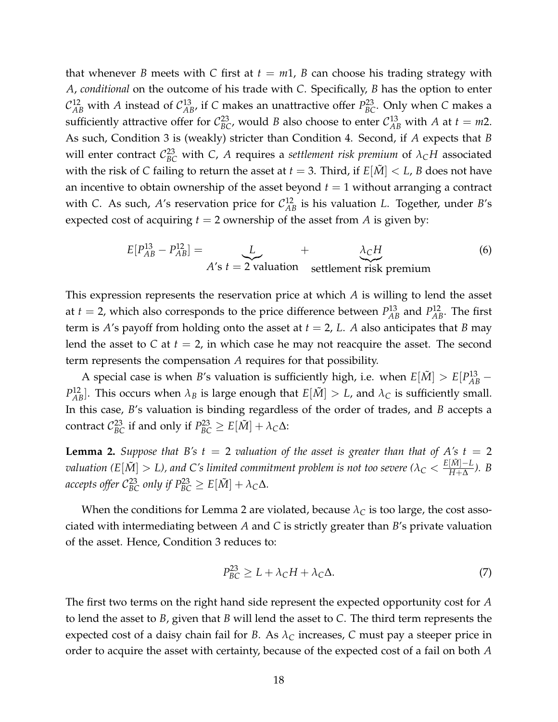that whenever *B* meets with *C* first at  $t = m1$ , *B* can choose his trading strategy with *A*, *conditional* on the outcome of his trade with *C*. Specifically, *B* has the option to enter  $\mathcal{C}_{AB}^{12}$  with *A* instead of  $\mathcal{C}_{AB}^{13}$ , if *C* makes an unattractive offer  $P_{BC}^{23}$ . Only when *C* makes a sufficiently attractive offer for  $C_{BC}^{23}$ , would *B* also choose to enter  $C_{AB}^{13}$  with *A* at  $t = m2$ . As such, Condition [3](#page-13-2) is (weakly) stricter than Condition [4.](#page-14-0) Second, if *A* expects that *B* will enter contract  $\mathcal{C}_{BC}^{23}$  with *C*, *A* requires a *settlement risk premium* of  $\lambda_C H$  associated with the risk of *C* failing to return the asset at  $t = 3$ . Third, if  $E[\tilde{M}] < L$ , *B* does not have an incentive to obtain ownership of the asset beyond  $t = 1$  without arranging a contract with *C*. As such, *A*'s reservation price for  $C_{AB}^{12}$  is his valuation *L*. Together, under *B*'s expected cost of acquiring  $t = 2$  ownership of the asset from *A* is given by:

$$
E[P_{AB}^{13} - P_{AB}^{12}] = \underbrace{L}_{A's \ t = 2 \ \text{valuation}} + \underbrace{\lambda_C H}_{\text{settlement risk premium}}
$$
(6)

This expression represents the reservation price at which *A* is willing to lend the asset at  $t = 2$ , which also corresponds to the price difference between  $P_{AB}^{13}$  and  $P_{AB}^{12}$ . The first term is *A*'s payoff from holding onto the asset at  $t = 2$ , *L*. *A* also anticipates that *B* may lend the asset to  $C$  at  $t = 2$ , in which case he may not reacquire the asset. The second term represents the compensation *A* requires for that possibility.

A special case is when *B*'s valuation is sufficiently high, i.e. when  $E[\tilde{M}] > E[P_{AB}^{13} -$ *P*<sup>12</sup><sub>*AB*</sub>]. This occurs when  $\lambda_B$  is large enough that  $E[\tilde{M}] > L$ , and  $\lambda_C$  is sufficiently small. In this case, *B*'s valuation is binding regardless of the order of trades, and *B* accepts a contract  $\mathcal{C}_{BC}^{23}$  if and only if  $P_{BC}^{23} \geq E[\tilde{M}] + \lambda_C \Delta$ :

<span id="page-17-0"></span>**Lemma 2.** *Suppose that B's*  $t = 2$  *valuation of the asset is greater than that of A's*  $t = 2$  $v$ aluation (E $[\tilde{M}] > L$ ), and C's limited commitment problem is not too severe ( $\lambda_C < \frac{E[\tilde{M}] - L}{H + \Delta}$ *H*+∆ *). B accepts offer*  $C_{BC}^{23}$  *only if*  $P_{BC}^{23} \ge E[\tilde{M}] + \lambda_C \Delta$ *.* 

When the conditions for Lemma [2](#page-17-0) are violated, because *λ<sup>C</sup>* is too large, the cost associated with intermediating between *A* and *C* is strictly greater than *B*'s private valuation of the asset. Hence, Condition [3](#page-13-2) reduces to:

<span id="page-17-1"></span>
$$
P_{BC}^{23} \ge L + \lambda_C H + \lambda_C \Delta. \tag{7}
$$

The first two terms on the right hand side represent the expected opportunity cost for *A* to lend the asset to *B*, given that *B* will lend the asset to *C*. The third term represents the expected cost of a daisy chain fail for *B*. As  $\lambda_C$  increases, *C* must pay a steeper price in order to acquire the asset with certainty, because of the expected cost of a fail on both *A*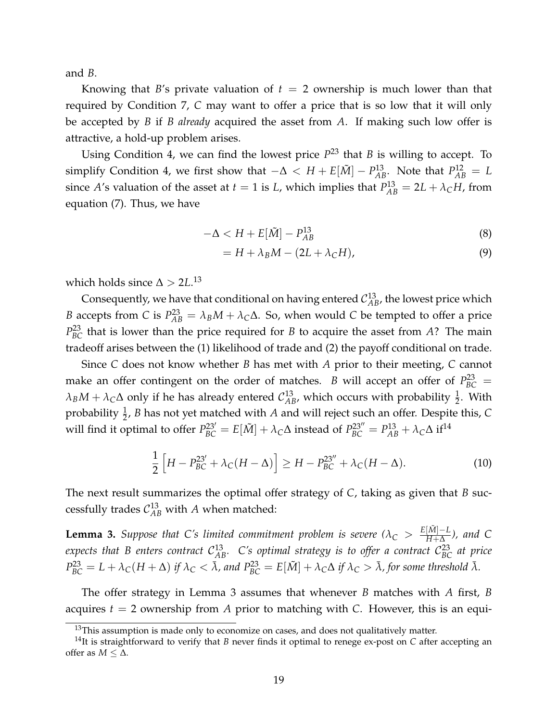and *B*.

Knowing that *B*'s private valuation of  $t = 2$  ownership is much lower than that required by Condition [7,](#page-17-1) *C* may want to offer a price that is so low that it will only be accepted by *B* if *B already* acquired the asset from *A*. If making such low offer is attractive, a hold-up problem arises.

Using Condition [4,](#page-14-0) we can find the lowest price  $P^{23}$  that *B* is willing to accept. To simplify Condition [4,](#page-14-0) we first show that  $-\Delta < H + E[\tilde{M}] - P_{AB}^{13}$ . Note that  $P_{AB}^{12} = L$ since *A*'s valuation of the asset at *t* = 1 is *L*, which implies that  $P_{AB}^{13} = 2L + \lambda_C H$ , from equation [\(7\)](#page-17-1). Thus, we have

$$
-\Delta < H + E[\tilde{M}] - P_{AB}^{13} \tag{8}
$$

$$
= H + \lambda_B M - (2L + \lambda_C H), \tag{9}
$$

which holds since  $\Delta > 2L^{13}$  $\Delta > 2L^{13}$  $\Delta > 2L^{13}$ 

Consequently, we have that conditional on having entered  $\mathcal{C}_{AB}^{13}$ , the lowest price which *B* accepts from *C* is  $P_{AB}^{23} = \lambda_B M + \lambda_C \Delta$ . So, when would *C* be tempted to offer a price  $P_{BC}^{23}$  that is lower than the price required for *B* to acquire the asset from *A*? The main tradeoff arises between the (1) likelihood of trade and (2) the payoff conditional on trade.

Since *C* does not know whether *B* has met with *A* prior to their meeting, *C* cannot make an offer contingent on the order of matches. *B* will accept an offer of  $P_{BC}^{23}$  =  $\lambda_B M + \lambda_C \Delta$  only if he has already entered  $\mathcal{C}_{AB}^{13}$ , which occurs with probability  $\frac{1}{2}$ . With probability <sup>1</sup> 2 , *B* has not yet matched with *A* and will reject such an offer. Despite this, *C* will find it optimal to offer  $P_{BC}^{23'} = E[\tilde{M}] + \lambda_C \Delta$  instead of  $P_{BC}^{23''} = P_{AB}^{13} + \lambda_C \Delta$  if<sup>[14](#page-18-1)</sup>

$$
\frac{1}{2}\left[H - P_{BC}^{23'} + \lambda_C(H - \Delta)\right] \ge H - P_{BC}^{23''} + \lambda_C(H - \Delta). \tag{10}
$$

The next result summarizes the optimal offer strategy of *C*, taking as given that *B* successfully trades  $\mathcal{C}_{AB}^{13}$  with *A* when matched:

<span id="page-18-2"></span>**Lemma 3.** *Suppose that C's limited commitment problem is severe* ( $\lambda_C > \frac{E[\tilde{M}] - L}{H + \Delta}$ *H*+∆ *), and C* expects that B enters contract  $\mathcal{C}^{13}_{AB}$ . C's optimal strategy is to offer a contract  $\mathcal{C}^{23}_{BC}$  at price  $P_{BC}^{23} = L + \lambda_C (H + \Delta)$  if  $\lambda_C < \bar{\lambda}$ , and  $P_{BC}^{23} = E[\tilde{M}] + \lambda_C \Delta$  if  $\lambda_C > \bar{\lambda}$ , for some threshold  $\bar{\lambda}$ .

The offer strategy in Lemma [3](#page-18-2) assumes that whenever *B* matches with *A* first, *B* acquires *t* = 2 ownership from *A* prior to matching with *C*. However, this is an equi-

<span id="page-18-1"></span><span id="page-18-0"></span> $13$ This assumption is made only to economize on cases, and does not qualitatively matter.

<sup>14</sup>It is straightforward to verify that *B* never finds it optimal to renege ex-post on *C* after accepting an offer as  $M \leq \Delta$ .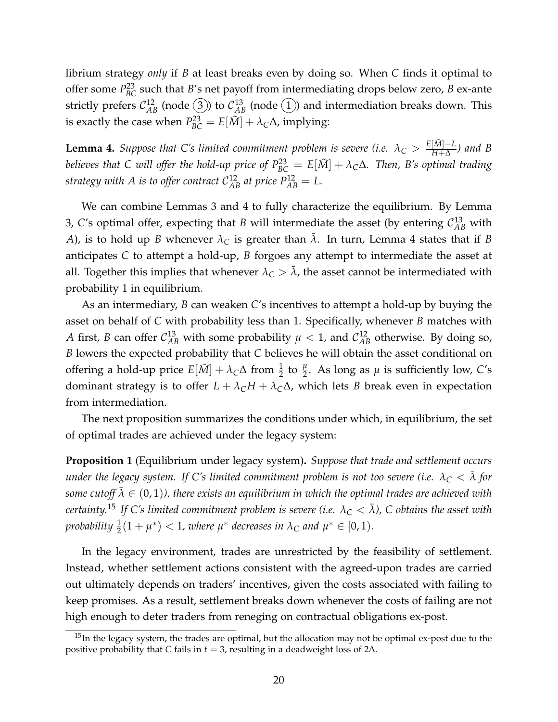librium strategy *only* if *B* at least breaks even by doing so. When *C* finds it optimal to offer some  $P_{BC}^{23}$  such that *B*'s net payoff from intermediating drops below zero, *B* ex-ante strictly prefers  $\mathcal{C}_{AB}^{12}$  (node  $\hat{(3)}$ ) to  $\mathcal{C}_{AB}^{13}$  (node  $\hat{(1)}$ ) and intermediation breaks down. This is exactly the case when  $P_{BC}^{23} = E[\tilde{M}] + \lambda_C \Delta$ , implying:

<span id="page-19-0"></span>**Lemma 4.** *Suppose that C's limited commitment problem is severe (i.e.*  $\lambda_C > \frac{E[\tilde{M}] - L}{H + \Delta}$ *H*+∆ *) and B believes that C will offer the hold-up price of*  $P_{BC}^{23} = E[\tilde{M}] + \lambda_C\Delta$ *. Then, B's optimal trading* strategy with A is to offer contract  $\mathcal{C}_{AB}^{12}$  at price  $P_{AB}^{12} = L$ .

We can combine Lemmas [3](#page-18-2) and [4](#page-19-0) to fully characterize the equilibrium. By Lemma [3,](#page-18-2) C's optimal offer, expecting that *B* will intermediate the asset (by entering  $\mathcal{C}_{AB}^{13}$  with *A*), is to hold up *B* whenever  $\lambda_C$  is greater than  $\bar{\lambda}$ . In turn, Lemma [4](#page-19-0) states that if *B* anticipates *C* to attempt a hold-up, *B* forgoes any attempt to intermediate the asset at all. Together this implies that whenever  $\lambda_C > \overline{\lambda}$ , the asset cannot be intermediated with probability 1 in equilibrium.

As an intermediary, *B* can weaken *C*'s incentives to attempt a hold-up by buying the asset on behalf of *C* with probability less than 1. Specifically, whenever *B* matches with *A* first, *B* can offer  $C_{AB}^{13}$  with some probability  $\mu < 1$ , and  $C_{AB}^{12}$  otherwise. By doing so, *B* lowers the expected probability that *C* believes he will obtain the asset conditional on offering a hold-up price  $E[\tilde{M}] + \lambda_C \Delta$  from  $\frac{1}{2}$  to  $\frac{\mu}{2}$ . As long as  $\mu$  is sufficiently low, *C*'s dominant strategy is to offer  $L + \lambda_C H + \lambda_C \Delta$ , which lets *B* break even in expectation from intermediation.

The next proposition summarizes the conditions under which, in equilibrium, the set of optimal trades are achieved under the legacy system:

<span id="page-19-2"></span>**Proposition 1** (Equilibrium under legacy system)**.** *Suppose that trade and settlement occurs under the legacy system. If C's limited commitment problem is not too severe (i.e.*  $\lambda_C < \bar{\lambda}$  for *some cutoff*  $\bar{\lambda} \in (0, 1)$ *), there exists an equilibrium in which the optimal trades are achieved with certainty.*<sup>[15](#page-19-1)</sup> *If* C's limited commitment problem is severe (i.e.  $\lambda_C < \overline{\lambda}$ ), C obtains the asset with *probability*  $\frac{1}{2}(1 + \mu^*) < 1$ , where  $\mu^*$  decreases in  $\lambda_C$  and  $\mu^* \in [0, 1)$ .

In the legacy environment, trades are unrestricted by the feasibility of settlement. Instead, whether settlement actions consistent with the agreed-upon trades are carried out ultimately depends on traders' incentives, given the costs associated with failing to keep promises. As a result, settlement breaks down whenever the costs of failing are not high enough to deter traders from reneging on contractual obligations ex-post.

<span id="page-19-1"></span> $15$ In the legacy system, the trades are optimal, but the allocation may not be optimal ex-post due to the positive probability that *C* fails in *t* = 3, resulting in a deadweight loss of 2∆.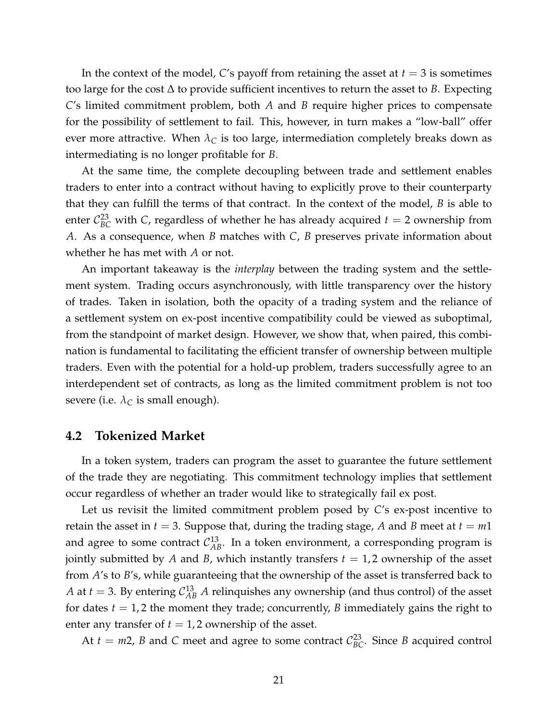In the context of the model, C's payoff from retaining the asset at  $t = 3$  is sometimes too large for the cost ∆ to provide sufficient incentives to return the asset to *B*. Expecting *C*'s limited commitment problem, both *A* and *B* require higher prices to compensate for the possibility of settlement to fail. This, however, in turn makes a "low-ball" offer ever more attractive. When  $\lambda_C$  is too large, intermediation completely breaks down as intermediating is no longer profitable for *B*.

At the same time, the complete decoupling between trade and settlement enables traders to enter into a contract without having to explicitly prove to their counterparty that they can fulfill the terms of that contract. In the context of the model, *B* is able to enter  $C_{BC}^{23}$  with *C*, regardless of whether he has already acquired  $t = 2$  ownership from *A*. As a consequence, when *B* matches with *C*, *B* preserves private information about whether he has met with *A* or not.

An important takeaway is the *interplay* between the trading system and the settlement system. Trading occurs asynchronously, with little transparency over the history of trades. Taken in isolation, both the opacity of a trading system and the reliance of a settlement system on ex-post incentive compatibility could be viewed as suboptimal, from the standpoint of market design. However, we show that, when paired, this combination is fundamental to facilitating the efficient transfer of ownership between multiple traders. Even with the potential for a hold-up problem, traders successfully agree to an interdependent set of contracts, as long as the limited commitment problem is not too severe (i.e.  $\lambda_C$  is small enough).

### **4.2 Tokenized Market**

In a token system, traders can program the asset to guarantee the future settlement of the trade they are negotiating. This commitment technology implies that settlement occur regardless of whether an trader would like to strategically fail ex post.

Let us revisit the limited commitment problem posed by *C*'s ex-post incentive to retain the asset in  $t = 3$ . Suppose that, during the trading stage, A and B meet at  $t = m1$ and agree to some contract  $\mathcal{C}_{AB}^{13}$ . In a token environment, a corresponding program is jointly submitted by A and B, which instantly transfers  $t = 1, 2$  ownership of the asset from *A*'s to *B*'s, while guaranteeing that the ownership of the asset is transferred back to *A* at  $t = 3$ . By entering  $C_{AB}^{13}$  *A* relinquishes any ownership (and thus control) of the asset for dates  $t = 1, 2$  the moment they trade; concurrently, *B* immediately gains the right to enter any transfer of  $t = 1, 2$  ownership of the asset.

At  $t = m2$ , *B* and *C* meet and agree to some contract  $C_{BC}^{23}$ . Since *B* acquired control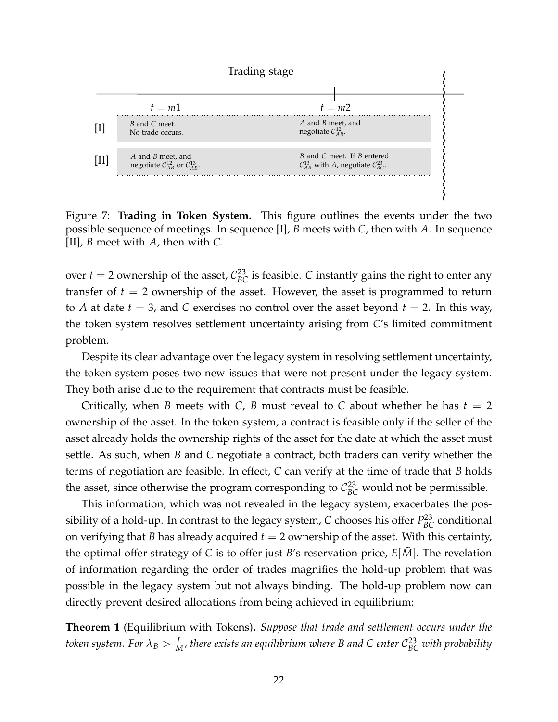

Figure 7: **Trading in Token System.** This figure outlines the events under the two possible sequence of meetings. In sequence [I], *B* meets with *C*, then with *A*. In sequence [II], *B* meet with *A*, then with *C*.

over  $t = 2$  ownership of the asset,  $C_{BC}^{23}$  is feasible. *C* instantly gains the right to enter any transfer of  $t = 2$  ownership of the asset. However, the asset is programmed to return to *A* at date  $t = 3$ , and *C* exercises no control over the asset beyond  $t = 2$ . In this way, the token system resolves settlement uncertainty arising from *C*'s limited commitment problem.

Despite its clear advantage over the legacy system in resolving settlement uncertainty, the token system poses two new issues that were not present under the legacy system. They both arise due to the requirement that contracts must be feasible.

Critically, when *B* meets with *C*, *B* must reveal to *C* about whether he has  $t = 2$ ownership of the asset. In the token system, a contract is feasible only if the seller of the asset already holds the ownership rights of the asset for the date at which the asset must settle. As such, when *B* and *C* negotiate a contract, both traders can verify whether the terms of negotiation are feasible. In effect, *C* can verify at the time of trade that *B* holds the asset, since otherwise the program corresponding to  $C_{BC}^{23}$  would not be permissible.

This information, which was not revealed in the legacy system, exacerbates the possibility of a hold-up. In contrast to the legacy system,  $C$  chooses his offer  $P_{BC}^{23}$  conditional on verifying that *B* has already acquired  $t = 2$  ownership of the asset. With this certainty, the optimal offer strategy of *C* is to offer just *B*'s reservation price,  $E[M]$ . The revelation of information regarding the order of trades magnifies the hold-up problem that was possible in the legacy system but not always binding. The hold-up problem now can directly prevent desired allocations from being achieved in equilibrium:

<span id="page-21-0"></span>**Theorem 1** (Equilibrium with Tokens)**.** *Suppose that trade and settlement occurs under the* token system. For  $\lambda_B > \frac{L}{M}$ , there exists an equilibrium where B and C enter  $\mathcal{C}_{BC}^{23}$  with probability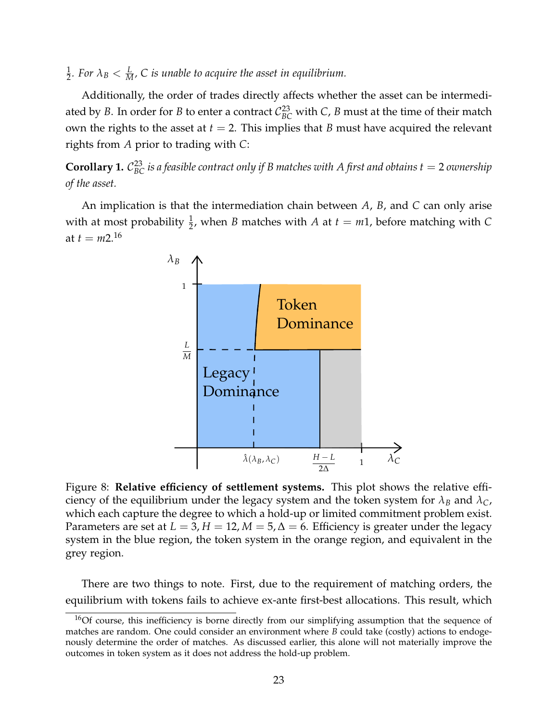1  $\frac{1}{2}$ *. For*  $\lambda_B < \frac{L}{M}$ *, C is unable to acquire the asset in equilibrium.* 

Additionally, the order of trades directly affects whether the asset can be intermediated by *B*. In order for *B* to enter a contract  $C_{BC}^{23}$  with *C*, *B* must at the time of their match own the rights to the asset at  $t = 2$ . This implies that *B* must have acquired the relevant rights from *A* prior to trading with *C*:

<span id="page-22-1"></span> $\bf{Corollary 1.}$   $\mathcal{C}_{BC}^{23}$  is a feasible contract only if B matches with  $A$  first and obtains  $t=2$  ownership *of the asset.*

An implication is that the intermediation chain between *A*, *B*, and *C* can only arise with at most probability  $\frac{1}{2}$ , when *B* matches with *A* at  $t = m1$ , before matching with *C* at  $t = m2^{16}$  $t = m2^{16}$  $t = m2^{16}$ 



Figure 8: **Relative efficiency of settlement systems.** This plot shows the relative efficiency of the equilibrium under the legacy system and the token system for  $\lambda_B$  and  $\lambda_C$ , which each capture the degree to which a hold-up or limited commitment problem exist. Parameters are set at  $L = 3$ ,  $H = 12$ ,  $M = 5$ ,  $\Delta = 6$ . Efficiency is greater under the legacy system in the blue region, the token system in the orange region, and equivalent in the grey region.

There are two things to note. First, due to the requirement of matching orders, the equilibrium with tokens fails to achieve ex-ante first-best allocations. This result, which

<span id="page-22-0"></span> $16$ Of course, this inefficiency is borne directly from our simplifying assumption that the sequence of matches are random. One could consider an environment where *B* could take (costly) actions to endogenously determine the order of matches. As discussed earlier, this alone will not materially improve the outcomes in token system as it does not address the hold-up problem.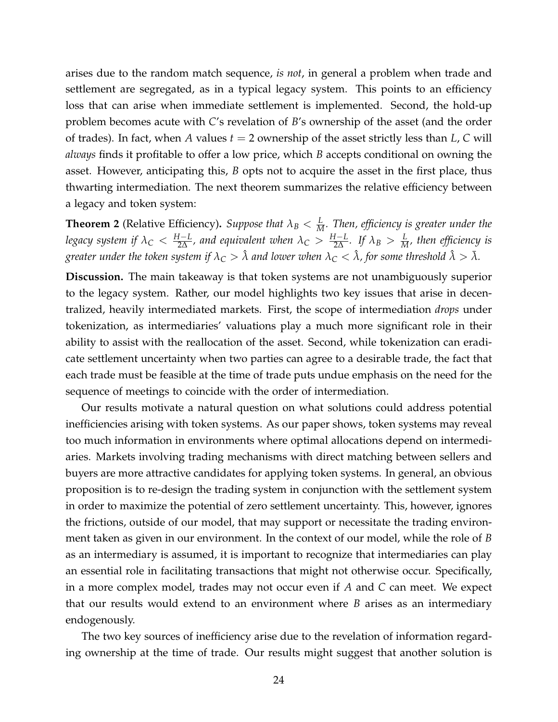arises due to the random match sequence, *is not*, in general a problem when trade and settlement are segregated, as in a typical legacy system. This points to an efficiency loss that can arise when immediate settlement is implemented. Second, the hold-up problem becomes acute with *C*'s revelation of *B*'s ownership of the asset (and the order of trades). In fact, when *A* values *t* = 2 ownership of the asset strictly less than *L*, *C* will *always* finds it profitable to offer a low price, which *B* accepts conditional on owning the asset. However, anticipating this, *B* opts not to acquire the asset in the first place, thus thwarting intermediation. The next theorem summarizes the relative efficiency between a legacy and token system:

<span id="page-23-0"></span>**Theorem 2** (Relative Efficiency). *Suppose that*  $\lambda_B < \frac{L}{M}$ . Then, efficiency is greater under the *legacy system if*  $\lambda_C<\frac{H-L}{2\Delta}$ *, and equivalent when*  $\lambda_C>\frac{H-L}{2\Delta}$ *. If*  $\lambda_B>\frac{L}{M}$ *, then efficiency is greater under the token system if*  $\lambda_C > \hat{\lambda}$  *and lower when*  $\lambda_C < \hat{\lambda}$ , *for some threshold*  $\hat{\lambda} > \bar{\lambda}$ *.* 

**Discussion.** The main takeaway is that token systems are not unambiguously superior to the legacy system. Rather, our model highlights two key issues that arise in decentralized, heavily intermediated markets. First, the scope of intermediation *drops* under tokenization, as intermediaries' valuations play a much more significant role in their ability to assist with the reallocation of the asset. Second, while tokenization can eradicate settlement uncertainty when two parties can agree to a desirable trade, the fact that each trade must be feasible at the time of trade puts undue emphasis on the need for the sequence of meetings to coincide with the order of intermediation.

Our results motivate a natural question on what solutions could address potential inefficiencies arising with token systems. As our paper shows, token systems may reveal too much information in environments where optimal allocations depend on intermediaries. Markets involving trading mechanisms with direct matching between sellers and buyers are more attractive candidates for applying token systems. In general, an obvious proposition is to re-design the trading system in conjunction with the settlement system in order to maximize the potential of zero settlement uncertainty. This, however, ignores the frictions, outside of our model, that may support or necessitate the trading environment taken as given in our environment. In the context of our model, while the role of *B* as an intermediary is assumed, it is important to recognize that intermediaries can play an essential role in facilitating transactions that might not otherwise occur. Specifically, in a more complex model, trades may not occur even if *A* and *C* can meet. We expect that our results would extend to an environment where *B* arises as an intermediary endogenously.

The two key sources of inefficiency arise due to the revelation of information regarding ownership at the time of trade. Our results might suggest that another solution is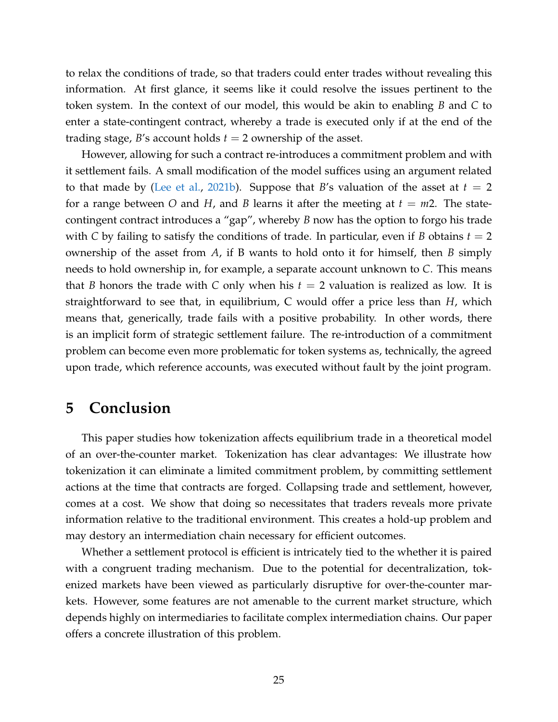to relax the conditions of trade, so that traders could enter trades without revealing this information. At first glance, it seems like it could resolve the issues pertinent to the token system. In the context of our model, this would be akin to enabling *B* and *C* to enter a state-contingent contract, whereby a trade is executed only if at the end of the trading stage, *B*'s account holds *t* = 2 ownership of the asset.

However, allowing for such a contract re-introduces a commitment problem and with it settlement fails. A small modification of the model suffices using an argument related to that made by [\(Lee et al.,](#page-26-2) [2021b\)](#page-26-2). Suppose that *B*'s valuation of the asset at  $t = 2$ for a range between O and H, and B learns it after the meeting at  $t = m2$ . The statecontingent contract introduces a "gap", whereby *B* now has the option to forgo his trade with *C* by failing to satisfy the conditions of trade. In particular, even if *B* obtains  $t = 2$ ownership of the asset from *A*, if B wants to hold onto it for himself, then *B* simply needs to hold ownership in, for example, a separate account unknown to *C*. This means that *B* honors the trade with *C* only when his  $t = 2$  valuation is realized as low. It is straightforward to see that, in equilibrium, C would offer a price less than *H*, which means that, generically, trade fails with a positive probability. In other words, there is an implicit form of strategic settlement failure. The re-introduction of a commitment problem can become even more problematic for token systems as, technically, the agreed upon trade, which reference accounts, was executed without fault by the joint program.

## <span id="page-24-0"></span>**5 Conclusion**

This paper studies how tokenization affects equilibrium trade in a theoretical model of an over-the-counter market. Tokenization has clear advantages: We illustrate how tokenization it can eliminate a limited commitment problem, by committing settlement actions at the time that contracts are forged. Collapsing trade and settlement, however, comes at a cost. We show that doing so necessitates that traders reveals more private information relative to the traditional environment. This creates a hold-up problem and may destory an intermediation chain necessary for efficient outcomes.

Whether a settlement protocol is efficient is intricately tied to the whether it is paired with a congruent trading mechanism. Due to the potential for decentralization, tokenized markets have been viewed as particularly disruptive for over-the-counter markets. However, some features are not amenable to the current market structure, which depends highly on intermediaries to facilitate complex intermediation chains. Our paper offers a concrete illustration of this problem.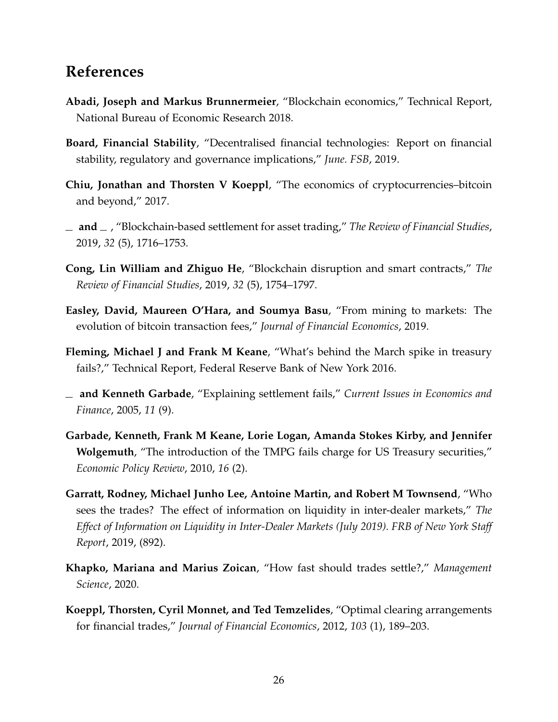## **References**

- <span id="page-25-7"></span>**Abadi, Joseph and Markus Brunnermeier**, "Blockchain economics," Technical Report, National Bureau of Economic Research 2018.
- <span id="page-25-3"></span>**Board, Financial Stability**, "Decentralised financial technologies: Report on financial stability, regulatory and governance implications," *June. FSB*, 2019.
- <span id="page-25-4"></span>**Chiu, Jonathan and Thorsten V Koeppl**, "The economics of cryptocurrencies–bitcoin and beyond," 2017.
- <span id="page-25-5"></span>**and** , "Blockchain-based settlement for asset trading," *The Review of Financial Studies*, 2019, *32* (5), 1716–1753.
- <span id="page-25-6"></span>**Cong, Lin William and Zhiguo He**, "Blockchain disruption and smart contracts," *The Review of Financial Studies*, 2019, *32* (5), 1754–1797.
- <span id="page-25-8"></span>**Easley, David, Maureen O'Hara, and Soumya Basu**, "From mining to markets: The evolution of bitcoin transaction fees," *Journal of Financial Economics*, 2019.
- <span id="page-25-2"></span>**Fleming, Michael J and Frank M Keane**, "What's behind the March spike in treasury fails?," Technical Report, Federal Reserve Bank of New York 2016.
- <span id="page-25-0"></span>**and Kenneth Garbade**, "Explaining settlement fails," *Current Issues in Economics and Finance*, 2005, *11* (9).
- <span id="page-25-1"></span>**Garbade, Kenneth, Frank M Keane, Lorie Logan, Amanda Stokes Kirby, and Jennifer Wolgemuth**, "The introduction of the TMPG fails charge for US Treasury securities," *Economic Policy Review*, 2010, *16* (2).
- <span id="page-25-11"></span>**Garratt, Rodney, Michael Junho Lee, Antoine Martin, and Robert M Townsend**, "Who sees the trades? The effect of information on liquidity in inter-dealer markets," *The Effect of Information on Liquidity in Inter-Dealer Markets (July 2019). FRB of New York Staff Report*, 2019, (892).
- <span id="page-25-10"></span>**Khapko, Mariana and Marius Zoican**, "How fast should trades settle?," *Management Science*, 2020.
- <span id="page-25-9"></span>**Koeppl, Thorsten, Cyril Monnet, and Ted Temzelides**, "Optimal clearing arrangements for financial trades," *Journal of Financial Economics*, 2012, *103* (1), 189–203.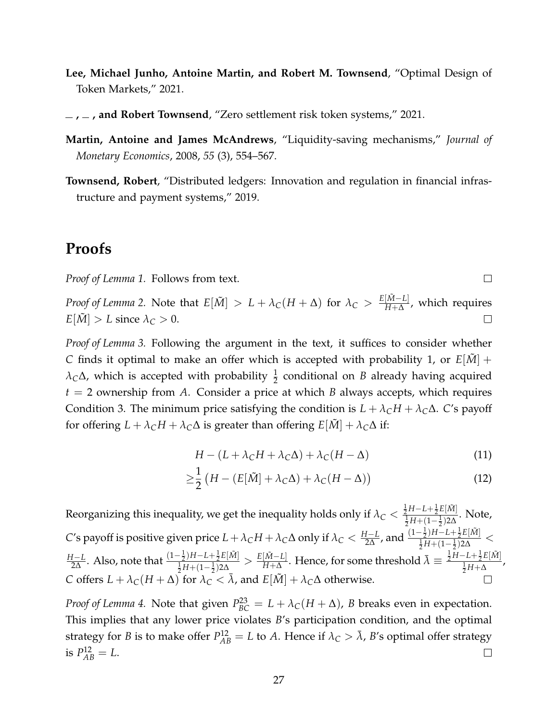- <span id="page-26-0"></span>**Lee, Michael Junho, Antoine Martin, and Robert M. Townsend**, "Optimal Design of Token Markets," 2021.
- <span id="page-26-2"></span> $\mu$ , and Robert Townsend, "Zero settlement risk token systems," 2021.
- <span id="page-26-3"></span>**Martin, Antoine and James McAndrews**, "Liquidity-saving mechanisms," *Journal of Monetary Economics*, 2008, *55* (3), 554–567.
- <span id="page-26-1"></span>**Townsend, Robert**, "Distributed ledgers: Innovation and regulation in financial infrastructure and payment systems," 2019.

## **Proofs**

*Proof of Lemma [1.](#page-10-1)* Follows from text.

*Proof of Lemma* [2.](#page-17-0) Note that  $E[\tilde{M}] > L + \lambda_C(H + \Delta)$  for  $\lambda_C > \frac{E[\tilde{M} - L]}{H + \Delta}$ *H*+∆ , which requires  $E[\tilde{M}] > L$  since  $\lambda_C > 0$ .  $\Box$ 

*Proof of Lemma [3.](#page-18-2)* Following the argument in the text, it suffices to consider whether *C* finds it optimal to make an offer which is accepted with probability 1, or  $E[\tilde{M}]$  +  $\lambda_C\Delta$ , which is accepted with probability  $\frac{1}{2}$  conditional on *B* already having acquired *t* = 2 ownership from *A*. Consider a price at which *B* always accepts, which requires Condition [3.](#page-13-2) The minimum price satisfying the condition is  $L + \lambda_C H + \lambda_C \Delta$ . *C*'s payoff for offering  $L + \lambda_C H + \lambda_C \Delta$  is greater than offering  $E[\tilde{M}] + \lambda_C \Delta$  if:

$$
H - (L + \lambda_C H + \lambda_C \Delta) + \lambda_C (H - \Delta)
$$
\n(11)

 $\Box$ 

$$
\geq \frac{1}{2} \left( H - \left( E[\tilde{M}] + \lambda_C \Delta \right) + \lambda_C (H - \Delta) \right) \tag{12}
$$

Reorganizing this inequality, we get the inequality holds only if  $\lambda_C < \frac{\frac{1}{2}H-L+\frac{1}{2}E[\tilde{M}]}{\frac{1}{2}H+(1-\frac{1}{2})2\Lambda}$  $\frac{1}{2}H+(1-\frac{1}{2})2\Delta$ . Note, *C*'s payoff is positive given price  $L + \lambda_C H + \lambda_C \Delta$  only if  $\lambda_C < \frac{H-L}{2\Delta}$ , and  $\frac{(1-\frac{1}{2})H - L + \frac{1}{2}E[\tilde{M}]}{\frac{1}{2}H + (1-\frac{1}{2})2\Delta}$  $\frac{\frac{1}{2}I^{\frac{1}{2}}(1-\frac{1}{2})^{2\Delta}}{\frac{1}{2}H+(1-\frac{1}{2})^{2\Delta}}$  < *I*−*L*. Also, note that  $\frac{(1-\frac{1}{2})H-L+\frac{1}{2}E[\tilde{M}]}{\frac{1}{2}H+(1-\frac{1}{2})2\Delta}$  $\frac{[\tilde{M}-L]}{H+\Delta}$ . Hence, for some threshold  $\bar{\lambda}\equiv\frac{\frac{1}{2}H-L+\frac{1}{2}E[\tilde{M}]}{\frac{1}{2}H+\Delta}$  $\frac{1}{2} \frac{1}{2} H - L + \frac{1}{2} E[\tilde{M}] \geq \frac{E[\tilde{M} - L]}{H + \Delta}$ *H*−*L*  $\frac{\frac{L}{2}H + \Delta}{2H + \Delta}$ *C* offers  $L + \lambda_C(H + \Delta)$  for  $\lambda_C < \overline{\lambda}$ , and  $E[\tilde{M}] + \lambda_C\Delta$  otherwise.  $\Box$ 

*Proof of Lemma* [4.](#page-19-0) Note that given  $P_{BC}^{23} = L + \lambda_C(H + \Delta)$ , *B* breaks even in expectation. This implies that any lower price violates *B*'s participation condition, and the optimal strategy for *B* is to make offer  $P_{AB}^{12} = L$  to *A*. Hence if  $\lambda_C > \bar{\lambda}$ , *B'*s optimal offer strategy is  $P_{AB}^{12} = L$ .  $\Box$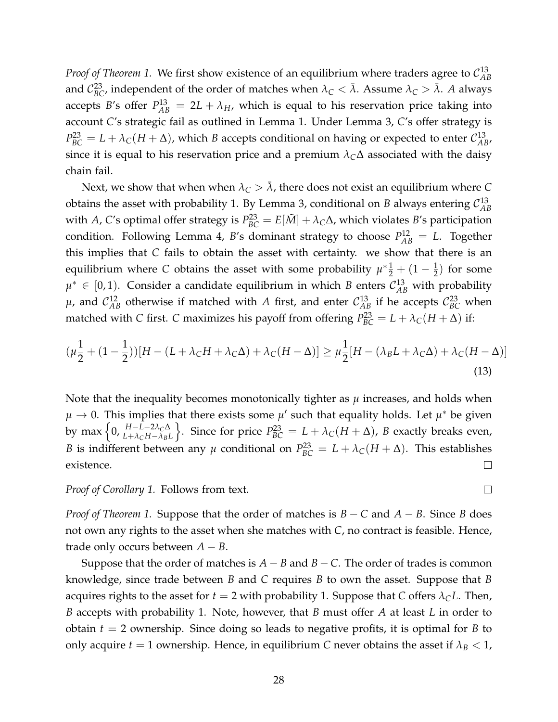*Proof of Theorem [1.](#page-19-2)* We first show existence of an equilibrium where traders agree to  $\mathcal{C}_{AB}^{13}$ *AB* and  $\mathcal{C}_{BC}^{23}$ , independent of the order of matches when  $\lambda_C < \bar{\lambda}$ . Assume  $\lambda_C > \bar{\lambda}$ . A always accepts *B*'s offer  $P_{AB}^{13} = 2L + \lambda_H$ , which is equal to his reservation price taking into account *C*'s strategic fail as outlined in Lemma [1.](#page-10-1) Under Lemma [3,](#page-18-2) *C*'s offer strategy is  $P_{BC}^{23} = L + \lambda_C (H + \Delta)$ , which *B* accepts conditional on having or expected to enter  $\mathcal{C}_{AB}^{13}$ , since it is equal to his reservation price and a premium  $\lambda_C\Delta$  associated with the daisy chain fail.

Next, we show that when when  $\lambda_C > \overline{\lambda}$ , there does not exist an equilibrium where *C* obtains the asset with probability 1. By Lemma [3,](#page-18-2) conditional on *B* always entering  $\mathcal{C}_{AB}^{13}$ *AB* with *A*, *C*'s optimal offer strategy is  $P_{BC}^{23} = E[\tilde{M}] + \lambda_C \Delta$ , which violates *B*'s participation condition. Following Lemma [4,](#page-19-0) *B*'s dominant strategy to choose  $P_{AB}^{12} = L$ . Together this implies that *C* fails to obtain the asset with certainty. we show that there is an equilibrium where *C* obtains the asset with some probability  $\mu^* \frac{1}{2} + (1 - \frac{1}{2})$  for some  $µ^*$  ∈ [0, 1). Consider a candidate equilibrium in which *B* enters  $C_{AB}^{13}$  with probability  $\mu$ , and  $\mathcal{C}_{AB}^{12}$  otherwise if matched with *A* first, and enter  $\mathcal{C}_{AB}^{13}$  if he accepts  $\mathcal{C}_{BC}^{23}$  when matched with *C* first. *C* maximizes his payoff from offering  $P_{BC}^{23} = L + \lambda_C(H + \Delta)$  if:

$$
(\mu \frac{1}{2} + (1 - \frac{1}{2})) [H - (L + \lambda_C H + \lambda_C \Delta) + \lambda_C (H - \Delta)] \ge \mu \frac{1}{2} [H - (\lambda_B L + \lambda_C \Delta) + \lambda_C (H - \Delta)]
$$
\n(13)

Note that the inequality becomes monotonically tighter as *µ* increases, and holds when  $\mu \to 0$ . This implies that there exists some  $\mu'$  such that equality holds. Let  $\mu^*$  be given by max <sup>n</sup> 0, *<sup>H</sup>*−*L*−2*λC*<sup>∆</sup> *L*+*λCH*−*λBL*  $\left\{\n\right\}.$  Since for price  $P_{BC}^{23} = L + \lambda_C (H + \Delta)$ , *B* exactly breaks even, *B* is indifferent between any  $\mu$  conditional on  $P_{BC}^{23} = L + \lambda_C(H + \Delta)$ . This establishes existence.  $\Box$ 

*Proof of Corollary [1.](#page-22-1)* Follows from text.

*Proof of Theorem [1.](#page-21-0)* Suppose that the order of matches is *B* − *C* and *A* − *B*. Since *B* does not own any rights to the asset when she matches with *C*, no contract is feasible. Hence, trade only occurs between  $A - B$ .

Suppose that the order of matches is  $A - B$  and  $B - C$ . The order of trades is common knowledge, since trade between *B* and *C* requires *B* to own the asset. Suppose that *B* acquires rights to the asset for  $t = 2$  with probability 1. Suppose that *C* offers  $\lambda_C L$ . Then, *B* accepts with probability 1. Note, however, that *B* must offer *A* at least *L* in order to obtain *t* = 2 ownership. Since doing so leads to negative profits, it is optimal for *B* to only acquire  $t = 1$  ownership. Hence, in equilibrium *C* never obtains the asset if  $\lambda_B < 1$ ,

 $\Box$